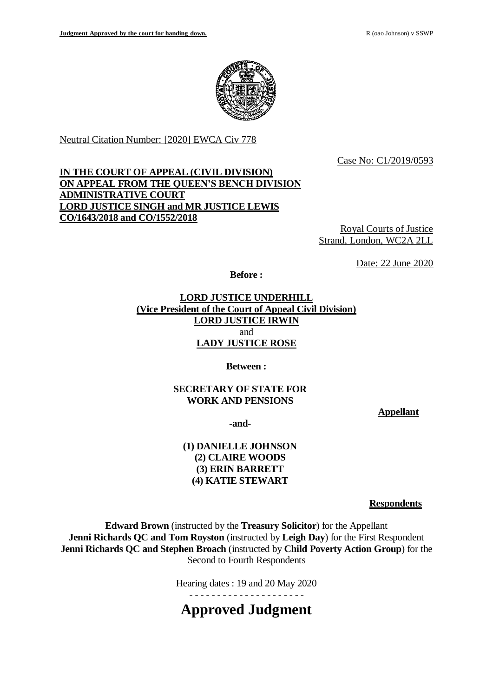

Neutral Citation Number: [2020] EWCA Civ 778

Case No: C1/2019/0593

# **IN THE COURT OF APPEAL (CIVIL DIVISION) ON APPEAL FROM THE QUEEN'S BENCH DIVISION ADMINISTRATIVE COURT LORD JUSTICE SINGH and MR JUSTICE LEWIS CO/1643/2018 and CO/1552/2018**

Royal Courts of Justice Strand, London, WC2A 2LL

Date: 22 June 2020

**Before :**

**LORD JUSTICE UNDERHILL (Vice President of the Court of Appeal Civil Division) LORD JUSTICE IRWIN** and **LADY JUSTICE ROSE** 

**Between :**

# **SECRETARY OF STATE FOR WORK AND PENSIONS**

**Appellant**

**-and-**

## **(1) DANIELLE JOHNSON (2) CLAIRE WOODS (3) ERIN BARRETT (4) KATIE STEWART**

**Respondents**

**Edward Brown** (instructed by the **Treasury Solicitor**) for the Appellant **Jenni Richards QC and Tom Royston** (instructed by **Leigh Day**) for the First Respondent **Jenni Richards QC and Stephen Broach** (instructed by **Child Poverty Action Group**) for the Second to Fourth Respondents

Hearing dates : 19 and 20 May 2020

**Approved Judgment**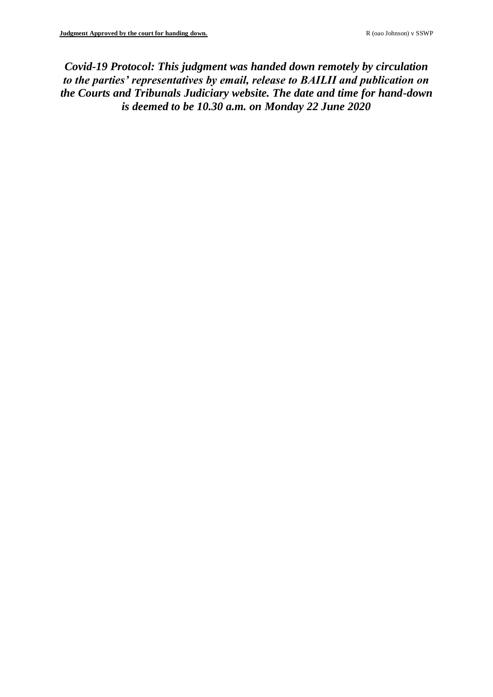*Covid-19 Protocol: This judgment was handed down remotely by circulation to the parties' representatives by email, release to BAILII and publication on the Courts and Tribunals Judiciary website. The date and time for hand-down is deemed to be 10.30 a.m. on Monday 22 June 2020*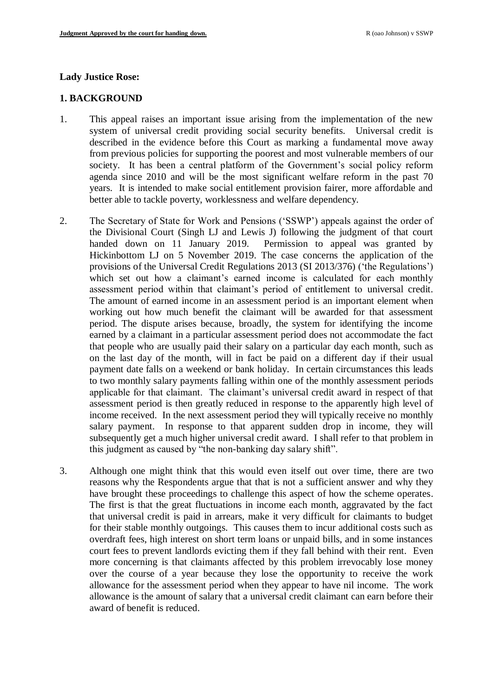#### **Lady Justice Rose:**

#### **1. BACKGROUND**

- 1. This appeal raises an important issue arising from the implementation of the new system of universal credit providing social security benefits. Universal credit is described in the evidence before this Court as marking a fundamental move away from previous policies for supporting the poorest and most vulnerable members of our society. It has been a central platform of the Government's social policy reform agenda since 2010 and will be the most significant welfare reform in the past 70 years. It is intended to make social entitlement provision fairer, more affordable and better able to tackle poverty, worklessness and welfare dependency.
- 2. The Secretary of State for Work and Pensions ('SSWP') appeals against the order of the Divisional Court (Singh LJ and Lewis J) following the judgment of that court handed down on 11 January 2019. Permission to appeal was granted by Hickinbottom LJ on 5 November 2019. The case concerns the application of the provisions of the Universal Credit Regulations 2013 (SI 2013/376) ('the Regulations') which set out how a claimant's earned income is calculated for each monthly assessment period within that claimant's period of entitlement to universal credit. The amount of earned income in an assessment period is an important element when working out how much benefit the claimant will be awarded for that assessment period. The dispute arises because, broadly, the system for identifying the income earned by a claimant in a particular assessment period does not accommodate the fact that people who are usually paid their salary on a particular day each month, such as on the last day of the month, will in fact be paid on a different day if their usual payment date falls on a weekend or bank holiday. In certain circumstances this leads to two monthly salary payments falling within one of the monthly assessment periods applicable for that claimant. The claimant's universal credit award in respect of that assessment period is then greatly reduced in response to the apparently high level of income received. In the next assessment period they will typically receive no monthly salary payment. In response to that apparent sudden drop in income, they will subsequently get a much higher universal credit award. I shall refer to that problem in this judgment as caused by "the non-banking day salary shift".
- 3. Although one might think that this would even itself out over time, there are two reasons why the Respondents argue that that is not a sufficient answer and why they have brought these proceedings to challenge this aspect of how the scheme operates. The first is that the great fluctuations in income each month, aggravated by the fact that universal credit is paid in arrears, make it very difficult for claimants to budget for their stable monthly outgoings. This causes them to incur additional costs such as overdraft fees, high interest on short term loans or unpaid bills, and in some instances court fees to prevent landlords evicting them if they fall behind with their rent. Even more concerning is that claimants affected by this problem irrevocably lose money over the course of a year because they lose the opportunity to receive the work allowance for the assessment period when they appear to have nil income. The work allowance is the amount of salary that a universal credit claimant can earn before their award of benefit is reduced.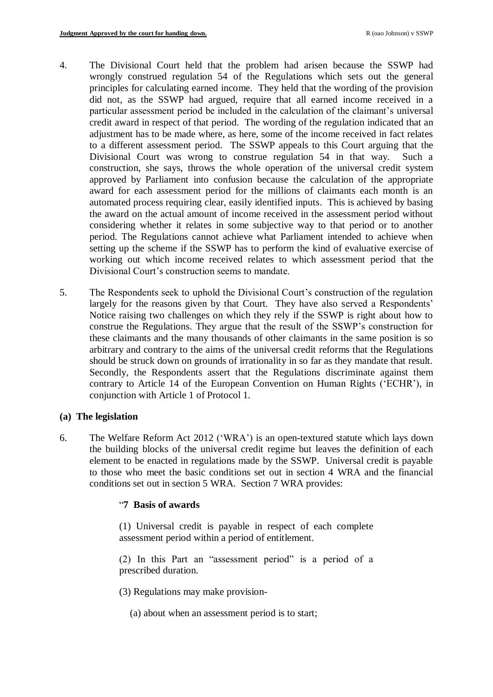- 4. The Divisional Court held that the problem had arisen because the SSWP had wrongly construed regulation 54 of the Regulations which sets out the general principles for calculating earned income. They held that the wording of the provision did not, as the SSWP had argued, require that all earned income received in a particular assessment period be included in the calculation of the claimant's universal credit award in respect of that period. The wording of the regulation indicated that an adjustment has to be made where, as here, some of the income received in fact relates to a different assessment period. The SSWP appeals to this Court arguing that the Divisional Court was wrong to construe regulation 54 in that way. Such a construction, she says, throws the whole operation of the universal credit system approved by Parliament into confusion because the calculation of the appropriate award for each assessment period for the millions of claimants each month is an automated process requiring clear, easily identified inputs. This is achieved by basing the award on the actual amount of income received in the assessment period without considering whether it relates in some subjective way to that period or to another period. The Regulations cannot achieve what Parliament intended to achieve when setting up the scheme if the SSWP has to perform the kind of evaluative exercise of working out which income received relates to which assessment period that the Divisional Court's construction seems to mandate.
- 5. The Respondents seek to uphold the Divisional Court's construction of the regulation largely for the reasons given by that Court. They have also served a Respondents' Notice raising two challenges on which they rely if the SSWP is right about how to construe the Regulations. They argue that the result of the SSWP's construction for these claimants and the many thousands of other claimants in the same position is so arbitrary and contrary to the aims of the universal credit reforms that the Regulations should be struck down on grounds of irrationality in so far as they mandate that result. Secondly, the Respondents assert that the Regulations discriminate against them contrary to Article 14 of the European Convention on Human Rights ('ECHR'), in conjunction with Article 1 of Protocol 1.

### **(a) The legislation**

6. The Welfare Reform Act 2012 ('WRA') is an open-textured statute which lays down the building blocks of the universal credit regime but leaves the definition of each element to be enacted in regulations made by the SSWP. Universal credit is payable to those who meet the basic conditions set out in section 4 WRA and the financial conditions set out in section 5 WRA. Section 7 WRA provides:

### "**7 Basis of awards**

(1) Universal credit is payable in respect of each complete assessment period within a period of entitlement.

(2) In this Part an "assessment period" is a period of a prescribed duration.

(3) Regulations may make provision-

(a) about when an assessment period is to start;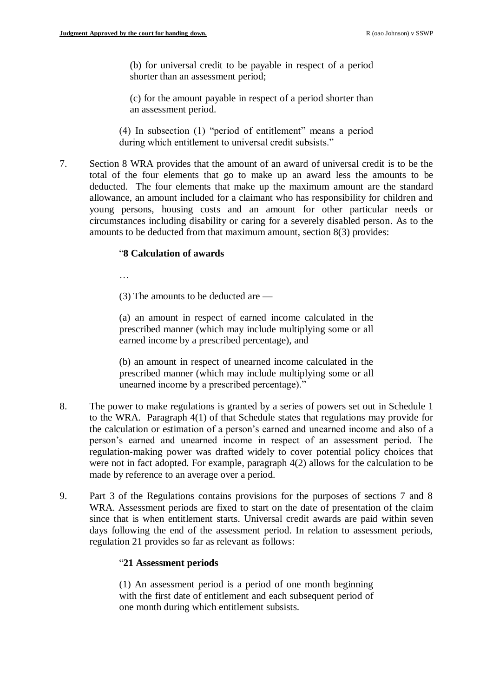(b) for universal credit to be payable in respect of a period shorter than an assessment period;

(c) for the amount payable in respect of a period shorter than an assessment period.

(4) In subsection (1) "period of entitlement" means a period during which entitlement to universal credit subsists."

7. Section 8 WRA provides that the amount of an award of universal credit is to be the total of the four elements that go to make up an award less the amounts to be deducted. The four elements that make up the maximum amount are the standard allowance, an amount included for a claimant who has responsibility for children and young persons, housing costs and an amount for other particular needs or circumstances including disability or caring for a severely disabled person. As to the amounts to be deducted from that maximum amount, section 8(3) provides:

### "**8 Calculation of awards**

…

(3) The amounts to be deducted are —

(a) an amount in respect of earned income calculated in the prescribed manner (which may include multiplying some or all earned income by a prescribed percentage), and

(b) an amount in respect of unearned income calculated in the prescribed manner (which may include multiplying some or all unearned income by a prescribed percentage)."

- 8. The power to make regulations is granted by a series of powers set out in Schedule 1 to the WRA. Paragraph 4(1) of that Schedule states that regulations may provide for the calculation or estimation of a person's earned and unearned income and also of a person's earned and unearned income in respect of an assessment period. The regulation-making power was drafted widely to cover potential policy choices that were not in fact adopted. For example, paragraph 4(2) allows for the calculation to be made by reference to an average over a period.
- 9. Part 3 of the Regulations contains provisions for the purposes of sections 7 and 8 WRA. Assessment periods are fixed to start on the date of presentation of the claim since that is when entitlement starts. Universal credit awards are paid within seven days following the end of the assessment period. In relation to assessment periods, regulation 21 provides so far as relevant as follows:

### "**21 Assessment periods**

(1) An assessment period is a period of one month beginning with the first date of entitlement and each subsequent period of one month during which entitlement subsists.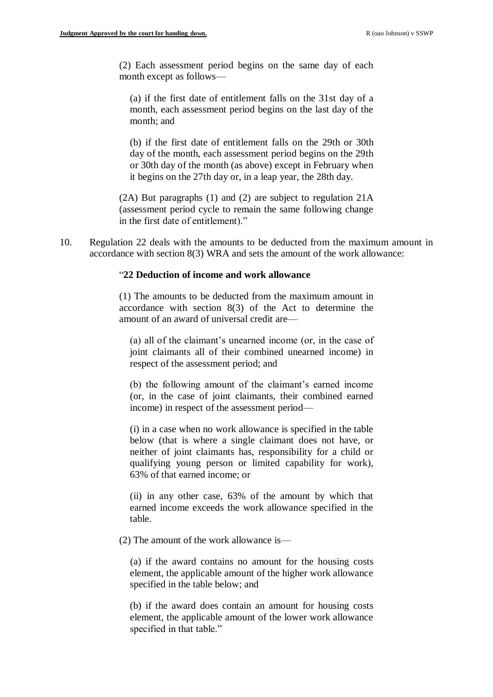(2) Each assessment period begins on the same day of each month except as follows—

(a) if the first date of entitlement falls on the 31st day of a month, each assessment period begins on the last day of the month; and

(b) if the first date of entitlement falls on the 29th or 30th day of the month, each assessment period begins on the 29th or 30th day of the month (as above) except in February when it begins on the 27th day or, in a leap year, the 28th day.

(2A) But paragraphs (1) and (2) are subject to regulation 21A (assessment period cycle to remain the same following change in the first date of entitlement)."

10. Regulation 22 deals with the amounts to be deducted from the maximum amount in accordance with section 8(3) WRA and sets the amount of the work allowance:

### "**22 Deduction of income and work allowance**

(1) The amounts to be deducted from the maximum amount in accordance with section 8(3) of the Act to determine the amount of an award of universal credit are—

(a) all of the claimant's unearned income (or, in the case of joint claimants all of their combined unearned income) in respect of the assessment period; and

(b) the following amount of the claimant's earned income (or, in the case of joint claimants, their combined earned income) in respect of the assessment period—

(i) in a case when no work allowance is specified in the table below (that is where a single claimant does not have, or neither of joint claimants has, responsibility for a child or qualifying young person or limited capability for work), 63% of that earned income; or

(ii) in any other case, 63% of the amount by which that earned income exceeds the work allowance specified in the table.

(2) The amount of the work allowance is—

(a) if the award contains no amount for the housing costs element, the applicable amount of the higher work allowance specified in the table below; and

(b) if the award does contain an amount for housing costs element, the applicable amount of the lower work allowance specified in that table."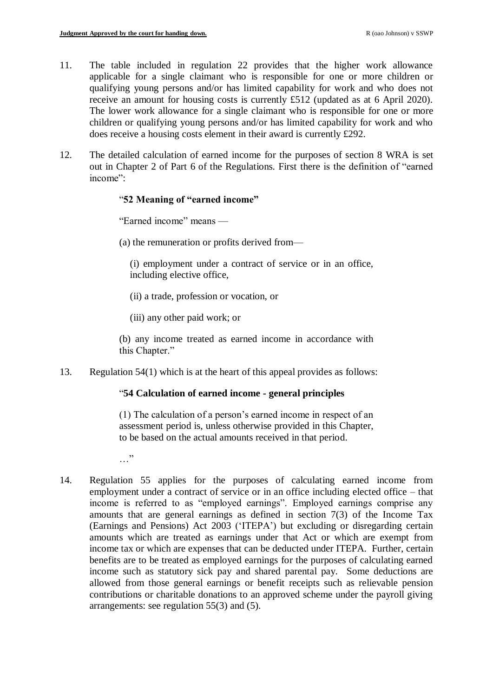- 11. The table included in regulation 22 provides that the higher work allowance applicable for a single claimant who is responsible for one or more children or qualifying young persons and/or has limited capability for work and who does not receive an amount for housing costs is currently £512 (updated as at 6 April 2020). The lower work allowance for a single claimant who is responsible for one or more children or qualifying young persons and/or has limited capability for work and who does receive a housing costs element in their award is currently £292.
- 12. The detailed calculation of earned income for the purposes of section 8 WRA is set out in Chapter 2 of Part 6 of the Regulations. First there is the definition of "earned income":

### "**52 Meaning of "earned income"**

"Earned income" means —

(a) the remuneration or profits derived from—

(i) employment under a contract of service or in an office, including elective office,

- (ii) a trade, profession or vocation, or
- (iii) any other paid work; or

(b) any income treated as earned income in accordance with this Chapter."

13. Regulation 54(1) which is at the heart of this appeal provides as follows:

### "**54 Calculation of earned income - general principles**

(1) The calculation of a person's earned income in respect of an assessment period is, unless otherwise provided in this Chapter, to be based on the actual amounts received in that period.

- $\cdots$
- 14. Regulation 55 applies for the purposes of calculating earned income from employment under a contract of service or in an office including elected office – that income is referred to as "employed earnings". Employed earnings comprise any amounts that are general earnings as defined in section 7(3) of the Income Tax (Earnings and Pensions) Act 2003 ('ITEPA') but excluding or disregarding certain amounts which are treated as earnings under that Act or which are exempt from income tax or which are expenses that can be deducted under ITEPA. Further, certain benefits are to be treated as employed earnings for the purposes of calculating earned income such as statutory sick pay and shared parental pay. Some deductions are allowed from those general earnings or benefit receipts such as relievable pension contributions or charitable donations to an approved scheme under the payroll giving arrangements: see regulation 55(3) and (5).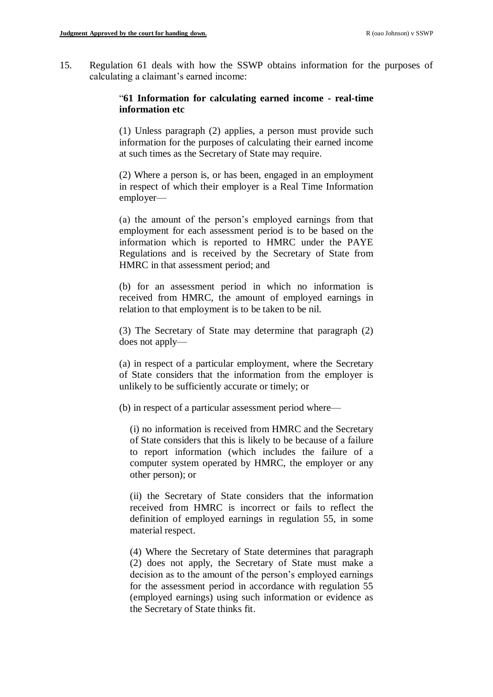15. Regulation 61 deals with how the SSWP obtains information for the purposes of calculating a claimant's earned income:

## "**61 Information for calculating earned income - real-time information etc**

(1) Unless paragraph (2) applies, a person must provide such information for the purposes of calculating their earned income at such times as the Secretary of State may require.

(2) Where a person is, or has been, engaged in an employment in respect of which their employer is a Real Time Information employer—

(a) the amount of the person's employed earnings from that employment for each assessment period is to be based on the information which is reported to HMRC under the PAYE Regulations and is received by the Secretary of State from HMRC in that assessment period; and

(b) for an assessment period in which no information is received from HMRC, the amount of employed earnings in relation to that employment is to be taken to be nil.

(3) The Secretary of State may determine that paragraph (2) does not apply—

(a) in respect of a particular employment, where the Secretary of State considers that the information from the employer is unlikely to be sufficiently accurate or timely; or

(b) in respect of a particular assessment period where—

(i) no information is received from HMRC and the Secretary of State considers that this is likely to be because of a failure to report information (which includes the failure of a computer system operated by HMRC, the employer or any other person); or

(ii) the Secretary of State considers that the information received from HMRC is incorrect or fails to reflect the definition of employed earnings in regulation 55, in some material respect.

(4) Where the Secretary of State determines that paragraph (2) does not apply, the Secretary of State must make a decision as to the amount of the person's employed earnings for the assessment period in accordance with regulation 55 (employed earnings) using such information or evidence as the Secretary of State thinks fit.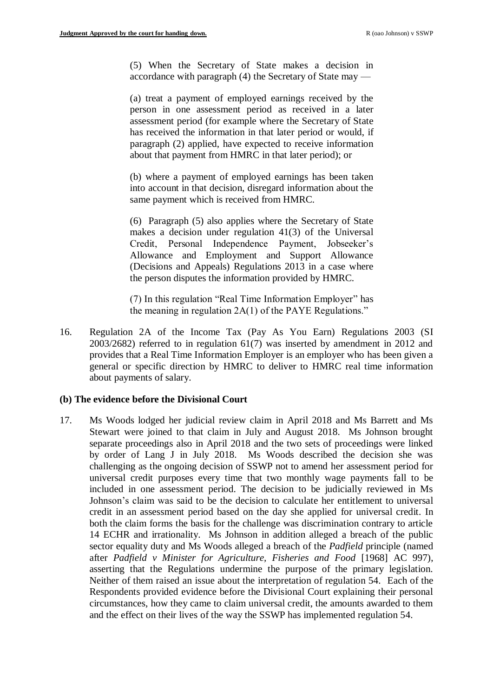(5) When the Secretary of State makes a decision in accordance with paragraph (4) the Secretary of State may —

(a) treat a payment of employed earnings received by the person in one assessment period as received in a later assessment period (for example where the Secretary of State has received the information in that later period or would, if paragraph (2) applied, have expected to receive information about that payment from HMRC in that later period); or

(b) where a payment of employed earnings has been taken into account in that decision, disregard information about the same payment which is received from HMRC.

(6) Paragraph (5) also applies where the Secretary of State makes a decision under regulation 41(3) of the Universal Credit, Personal Independence Payment, Jobseeker's Allowance and Employment and Support Allowance (Decisions and Appeals) Regulations 2013 in a case where the person disputes the information provided by HMRC.

(7) In this regulation "Real Time Information Employer" has the meaning in regulation 2A(1) of the PAYE Regulations."

16. Regulation 2A of the Income Tax (Pay As You Earn) Regulations 2003 (SI 2003/2682) referred to in regulation 61(7) was inserted by amendment in 2012 and provides that a Real Time Information Employer is an employer who has been given a general or specific direction by HMRC to deliver to HMRC real time information about payments of salary.

### **(b) The evidence before the Divisional Court**

17. Ms Woods lodged her judicial review claim in April 2018 and Ms Barrett and Ms Stewart were joined to that claim in July and August 2018. Ms Johnson brought separate proceedings also in April 2018 and the two sets of proceedings were linked by order of Lang J in July 2018. Ms Woods described the decision she was challenging as the ongoing decision of SSWP not to amend her assessment period for universal credit purposes every time that two monthly wage payments fall to be included in one assessment period. The decision to be judicially reviewed in Ms Johnson's claim was said to be the decision to calculate her entitlement to universal credit in an assessment period based on the day she applied for universal credit. In both the claim forms the basis for the challenge was discrimination contrary to article 14 ECHR and irrationality. Ms Johnson in addition alleged a breach of the public sector equality duty and Ms Woods alleged a breach of the *Padfield* principle (named after *Padfield v Minister for Agriculture, Fisheries and Food* [1968] AC 997), asserting that the Regulations undermine the purpose of the primary legislation. Neither of them raised an issue about the interpretation of regulation 54. Each of the Respondents provided evidence before the Divisional Court explaining their personal circumstances, how they came to claim universal credit, the amounts awarded to them and the effect on their lives of the way the SSWP has implemented regulation 54.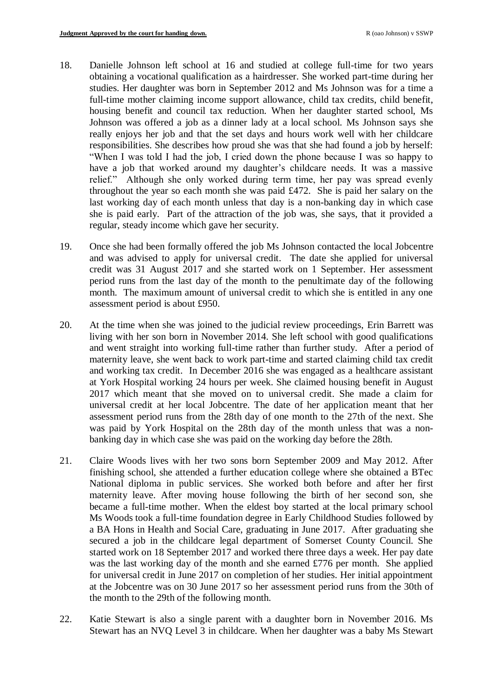- 18. Danielle Johnson left school at 16 and studied at college full-time for two years obtaining a vocational qualification as a hairdresser. She worked part-time during her studies. Her daughter was born in September 2012 and Ms Johnson was for a time a full-time mother claiming income support allowance, child tax credits, child benefit, housing benefit and council tax reduction. When her daughter started school, Ms Johnson was offered a job as a dinner lady at a local school. Ms Johnson says she really enjoys her job and that the set days and hours work well with her childcare responsibilities. She describes how proud she was that she had found a job by herself: "When I was told I had the job, I cried down the phone because I was so happy to have a job that worked around my daughter's childcare needs. It was a massive relief." Although she only worked during term time, her pay was spread evenly throughout the year so each month she was paid £472. She is paid her salary on the last working day of each month unless that day is a non-banking day in which case she is paid early. Part of the attraction of the job was, she says, that it provided a regular, steady income which gave her security.
- 19. Once she had been formally offered the job Ms Johnson contacted the local Jobcentre and was advised to apply for universal credit. The date she applied for universal credit was 31 August 2017 and she started work on 1 September. Her assessment period runs from the last day of the month to the penultimate day of the following month. The maximum amount of universal credit to which she is entitled in any one assessment period is about £950.
- 20. At the time when she was joined to the judicial review proceedings, Erin Barrett was living with her son born in November 2014. She left school with good qualifications and went straight into working full-time rather than further study. After a period of maternity leave, she went back to work part-time and started claiming child tax credit and working tax credit. In December 2016 she was engaged as a healthcare assistant at York Hospital working 24 hours per week. She claimed housing benefit in August 2017 which meant that she moved on to universal credit. She made a claim for universal credit at her local Jobcentre. The date of her application meant that her assessment period runs from the 28th day of one month to the 27th of the next. She was paid by York Hospital on the 28th day of the month unless that was a nonbanking day in which case she was paid on the working day before the 28th.
- 21. Claire Woods lives with her two sons born September 2009 and May 2012. After finishing school, she attended a further education college where she obtained a BTec National diploma in public services. She worked both before and after her first maternity leave. After moving house following the birth of her second son, she became a full-time mother. When the eldest boy started at the local primary school Ms Woods took a full-time foundation degree in Early Childhood Studies followed by a BA Hons in Health and Social Care, graduating in June 2017. After graduating she secured a job in the childcare legal department of Somerset County Council. She started work on 18 September 2017 and worked there three days a week. Her pay date was the last working day of the month and she earned £776 per month. She applied for universal credit in June 2017 on completion of her studies. Her initial appointment at the Jobcentre was on 30 June 2017 so her assessment period runs from the 30th of the month to the 29th of the following month.
- 22. Katie Stewart is also a single parent with a daughter born in November 2016. Ms Stewart has an NVQ Level 3 in childcare. When her daughter was a baby Ms Stewart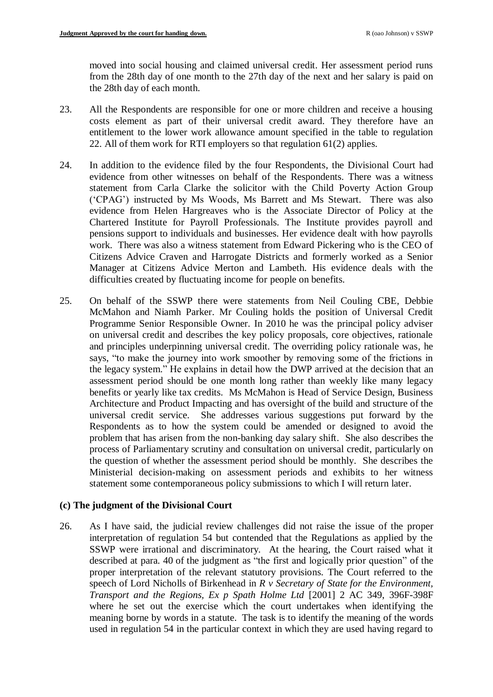moved into social housing and claimed universal credit. Her assessment period runs from the 28th day of one month to the 27th day of the next and her salary is paid on the 28th day of each month.

- 23. All the Respondents are responsible for one or more children and receive a housing costs element as part of their universal credit award. They therefore have an entitlement to the lower work allowance amount specified in the table to regulation 22. All of them work for RTI employers so that regulation 61(2) applies.
- 24. In addition to the evidence filed by the four Respondents, the Divisional Court had evidence from other witnesses on behalf of the Respondents. There was a witness statement from Carla Clarke the solicitor with the Child Poverty Action Group ('CPAG') instructed by Ms Woods, Ms Barrett and Ms Stewart. There was also evidence from Helen Hargreaves who is the Associate Director of Policy at the Chartered Institute for Payroll Professionals. The Institute provides payroll and pensions support to individuals and businesses. Her evidence dealt with how payrolls work. There was also a witness statement from Edward Pickering who is the CEO of Citizens Advice Craven and Harrogate Districts and formerly worked as a Senior Manager at Citizens Advice Merton and Lambeth. His evidence deals with the difficulties created by fluctuating income for people on benefits.
- 25. On behalf of the SSWP there were statements from Neil Couling CBE, Debbie McMahon and Niamh Parker. Mr Couling holds the position of Universal Credit Programme Senior Responsible Owner. In 2010 he was the principal policy adviser on universal credit and describes the key policy proposals, core objectives, rationale and principles underpinning universal credit. The overriding policy rationale was, he says, "to make the journey into work smoother by removing some of the frictions in the legacy system." He explains in detail how the DWP arrived at the decision that an assessment period should be one month long rather than weekly like many legacy benefits or yearly like tax credits. Ms McMahon is Head of Service Design, Business Architecture and Product Impacting and has oversight of the build and structure of the universal credit service. She addresses various suggestions put forward by the Respondents as to how the system could be amended or designed to avoid the problem that has arisen from the non-banking day salary shift. She also describes the process of Parliamentary scrutiny and consultation on universal credit, particularly on the question of whether the assessment period should be monthly. She describes the Ministerial decision-making on assessment periods and exhibits to her witness statement some contemporaneous policy submissions to which I will return later.

## **(c) The judgment of the Divisional Court**

26. As I have said, the judicial review challenges did not raise the issue of the proper interpretation of regulation 54 but contended that the Regulations as applied by the SSWP were irrational and discriminatory. At the hearing, the Court raised what it described at para. 40 of the judgment as "the first and logically prior question" of the proper interpretation of the relevant statutory provisions. The Court referred to the speech of Lord Nicholls of Birkenhead in *R v Secretary of State for the Environment, Transport and the Regions, Ex p Spath Holme Ltd* [2001] 2 AC 349, 396F-398F where he set out the exercise which the court undertakes when identifying the meaning borne by words in a statute. The task is to identify the meaning of the words used in regulation 54 in the particular context in which they are used having regard to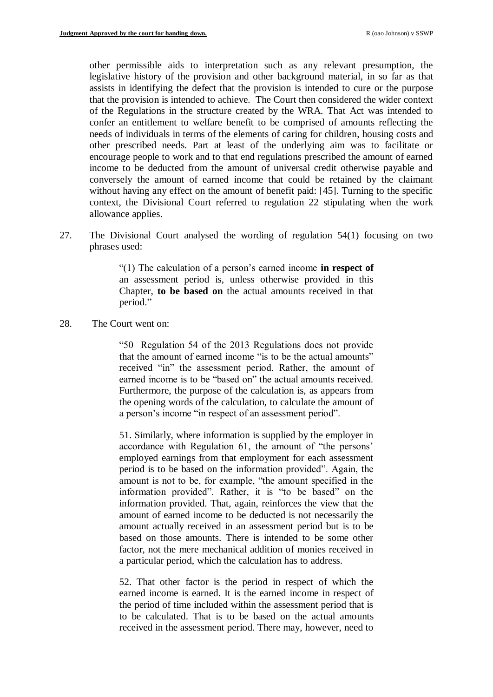other permissible aids to interpretation such as any relevant presumption, the legislative history of the provision and other background material, in so far as that assists in identifying the defect that the provision is intended to cure or the purpose that the provision is intended to achieve. The Court then considered the wider context of the Regulations in the structure created by the WRA. That Act was intended to confer an entitlement to welfare benefit to be comprised of amounts reflecting the needs of individuals in terms of the elements of caring for children, housing costs and other prescribed needs. Part at least of the underlying aim was to facilitate or encourage people to work and to that end regulations prescribed the amount of earned income to be deducted from the amount of universal credit otherwise payable and conversely the amount of earned income that could be retained by the claimant without having any effect on the amount of benefit paid: [45]. Turning to the specific context, the Divisional Court referred to regulation 22 stipulating when the work allowance applies.

27. The Divisional Court analysed the wording of regulation 54(1) focusing on two phrases used:

> "(1) The calculation of a person's earned income **in respect of**  an assessment period is, unless otherwise provided in this Chapter, **to be based on** the actual amounts received in that period."

28. The Court went on:

"50 Regulation 54 of the 2013 Regulations does not provide that the amount of earned income "is to be the actual amounts" received "in" the assessment period. Rather, the amount of earned income is to be "based on" the actual amounts received. Furthermore, the purpose of the calculation is, as appears from the opening words of the calculation, to calculate the amount of a person's income "in respect of an assessment period".

51. Similarly, where information is supplied by the employer in accordance with Regulation 61, the amount of "the persons' employed earnings from that employment for each assessment period is to be based on the information provided". Again, the amount is not to be, for example, "the amount specified in the information provided". Rather, it is "to be based" on the information provided. That, again, reinforces the view that the amount of earned income to be deducted is not necessarily the amount actually received in an assessment period but is to be based on those amounts. There is intended to be some other factor, not the mere mechanical addition of monies received in a particular period, which the calculation has to address.

52. That other factor is the period in respect of which the earned income is earned. It is the earned income in respect of the period of time included within the assessment period that is to be calculated. That is to be based on the actual amounts received in the assessment period. There may, however, need to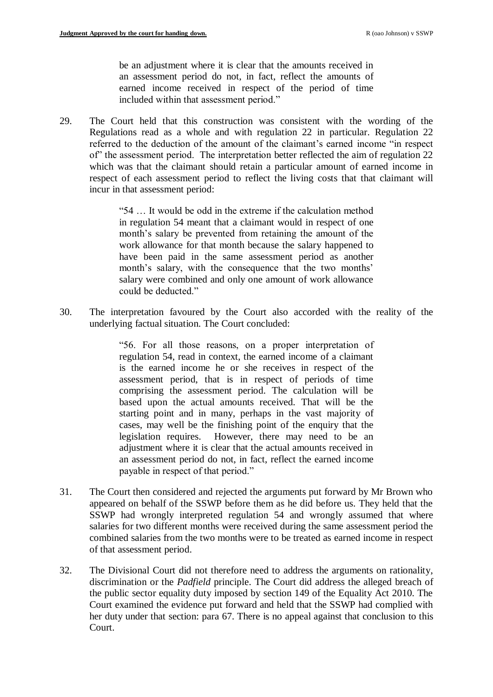be an adjustment where it is clear that the amounts received in an assessment period do not, in fact, reflect the amounts of earned income received in respect of the period of time included within that assessment period."

29. The Court held that this construction was consistent with the wording of the Regulations read as a whole and with regulation 22 in particular. Regulation 22 referred to the deduction of the amount of the claimant's earned income "in respect of" the assessment period. The interpretation better reflected the aim of regulation 22 which was that the claimant should retain a particular amount of earned income in respect of each assessment period to reflect the living costs that that claimant will incur in that assessment period:

> "54 … It would be odd in the extreme if the calculation method in regulation 54 meant that a claimant would in respect of one month's salary be prevented from retaining the amount of the work allowance for that month because the salary happened to have been paid in the same assessment period as another month's salary, with the consequence that the two months' salary were combined and only one amount of work allowance could be deducted."

30. The interpretation favoured by the Court also accorded with the reality of the underlying factual situation. The Court concluded:

> "56. For all those reasons, on a proper interpretation of regulation 54, read in context, the earned income of a claimant is the earned income he or she receives in respect of the assessment period, that is in respect of periods of time comprising the assessment period. The calculation will be based upon the actual amounts received. That will be the starting point and in many, perhaps in the vast majority of cases, may well be the finishing point of the enquiry that the legislation requires. However, there may need to be an adjustment where it is clear that the actual amounts received in an assessment period do not, in fact, reflect the earned income payable in respect of that period."

- 31. The Court then considered and rejected the arguments put forward by Mr Brown who appeared on behalf of the SSWP before them as he did before us. They held that the SSWP had wrongly interpreted regulation 54 and wrongly assumed that where salaries for two different months were received during the same assessment period the combined salaries from the two months were to be treated as earned income in respect of that assessment period.
- 32. The Divisional Court did not therefore need to address the arguments on rationality, discrimination or the *Padfield* principle. The Court did address the alleged breach of the public sector equality duty imposed by section 149 of the Equality Act 2010. The Court examined the evidence put forward and held that the SSWP had complied with her duty under that section: para 67. There is no appeal against that conclusion to this Court.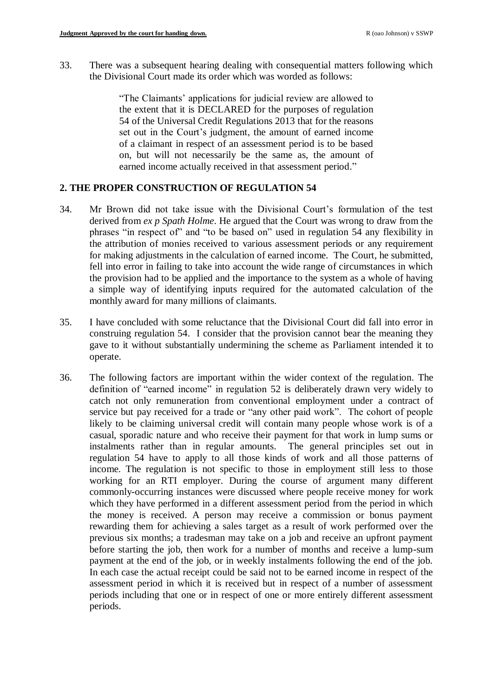33. There was a subsequent hearing dealing with consequential matters following which the Divisional Court made its order which was worded as follows:

> "The Claimants' applications for judicial review are allowed to the extent that it is DECLARED for the purposes of regulation 54 of the Universal Credit Regulations 2013 that for the reasons set out in the Court's judgment, the amount of earned income of a claimant in respect of an assessment period is to be based on, but will not necessarily be the same as, the amount of earned income actually received in that assessment period."

# **2. THE PROPER CONSTRUCTION OF REGULATION 54**

- 34. Mr Brown did not take issue with the Divisional Court's formulation of the test derived from *ex p Spath Holme*. He argued that the Court was wrong to draw from the phrases "in respect of" and "to be based on" used in regulation 54 any flexibility in the attribution of monies received to various assessment periods or any requirement for making adjustments in the calculation of earned income. The Court, he submitted, fell into error in failing to take into account the wide range of circumstances in which the provision had to be applied and the importance to the system as a whole of having a simple way of identifying inputs required for the automated calculation of the monthly award for many millions of claimants.
- 35. I have concluded with some reluctance that the Divisional Court did fall into error in construing regulation 54. I consider that the provision cannot bear the meaning they gave to it without substantially undermining the scheme as Parliament intended it to operate.
- 36. The following factors are important within the wider context of the regulation. The definition of "earned income" in regulation 52 is deliberately drawn very widely to catch not only remuneration from conventional employment under a contract of service but pay received for a trade or "any other paid work". The cohort of people likely to be claiming universal credit will contain many people whose work is of a casual, sporadic nature and who receive their payment for that work in lump sums or instalments rather than in regular amounts. The general principles set out in regulation 54 have to apply to all those kinds of work and all those patterns of income. The regulation is not specific to those in employment still less to those working for an RTI employer. During the course of argument many different commonly-occurring instances were discussed where people receive money for work which they have performed in a different assessment period from the period in which the money is received. A person may receive a commission or bonus payment rewarding them for achieving a sales target as a result of work performed over the previous six months; a tradesman may take on a job and receive an upfront payment before starting the job, then work for a number of months and receive a lump-sum payment at the end of the job, or in weekly instalments following the end of the job. In each case the actual receipt could be said not to be earned income in respect of the assessment period in which it is received but in respect of a number of assessment periods including that one or in respect of one or more entirely different assessment periods.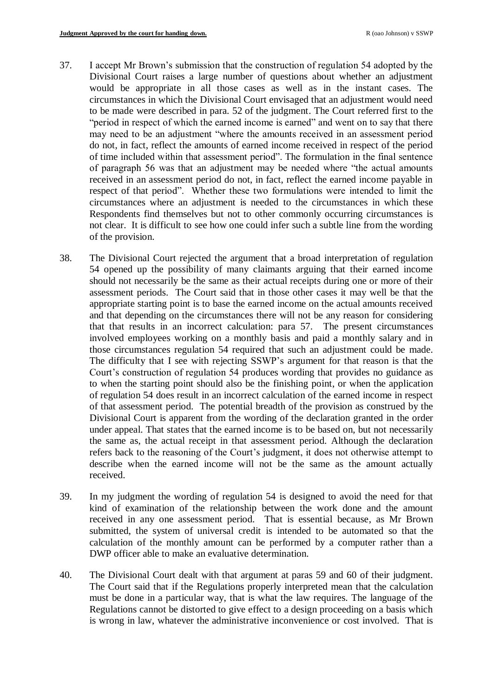- 37. I accept Mr Brown's submission that the construction of regulation 54 adopted by the Divisional Court raises a large number of questions about whether an adjustment would be appropriate in all those cases as well as in the instant cases. The circumstances in which the Divisional Court envisaged that an adjustment would need to be made were described in para. 52 of the judgment. The Court referred first to the "period in respect of which the earned income is earned" and went on to say that there may need to be an adjustment "where the amounts received in an assessment period do not, in fact, reflect the amounts of earned income received in respect of the period of time included within that assessment period". The formulation in the final sentence of paragraph 56 was that an adjustment may be needed where "the actual amounts received in an assessment period do not, in fact, reflect the earned income payable in respect of that period". Whether these two formulations were intended to limit the circumstances where an adjustment is needed to the circumstances in which these Respondents find themselves but not to other commonly occurring circumstances is not clear. It is difficult to see how one could infer such a subtle line from the wording of the provision.
- 38. The Divisional Court rejected the argument that a broad interpretation of regulation 54 opened up the possibility of many claimants arguing that their earned income should not necessarily be the same as their actual receipts during one or more of their assessment periods. The Court said that in those other cases it may well be that the appropriate starting point is to base the earned income on the actual amounts received and that depending on the circumstances there will not be any reason for considering that that results in an incorrect calculation: para 57. The present circumstances involved employees working on a monthly basis and paid a monthly salary and in those circumstances regulation 54 required that such an adjustment could be made. The difficulty that I see with rejecting SSWP's argument for that reason is that the Court's construction of regulation 54 produces wording that provides no guidance as to when the starting point should also be the finishing point, or when the application of regulation 54 does result in an incorrect calculation of the earned income in respect of that assessment period. The potential breadth of the provision as construed by the Divisional Court is apparent from the wording of the declaration granted in the order under appeal. That states that the earned income is to be based on, but not necessarily the same as, the actual receipt in that assessment period. Although the declaration refers back to the reasoning of the Court's judgment, it does not otherwise attempt to describe when the earned income will not be the same as the amount actually received.
- 39. In my judgment the wording of regulation 54 is designed to avoid the need for that kind of examination of the relationship between the work done and the amount received in any one assessment period. That is essential because, as Mr Brown submitted, the system of universal credit is intended to be automated so that the calculation of the monthly amount can be performed by a computer rather than a DWP officer able to make an evaluative determination.
- 40. The Divisional Court dealt with that argument at paras 59 and 60 of their judgment. The Court said that if the Regulations properly interpreted mean that the calculation must be done in a particular way, that is what the law requires. The language of the Regulations cannot be distorted to give effect to a design proceeding on a basis which is wrong in law, whatever the administrative inconvenience or cost involved. That is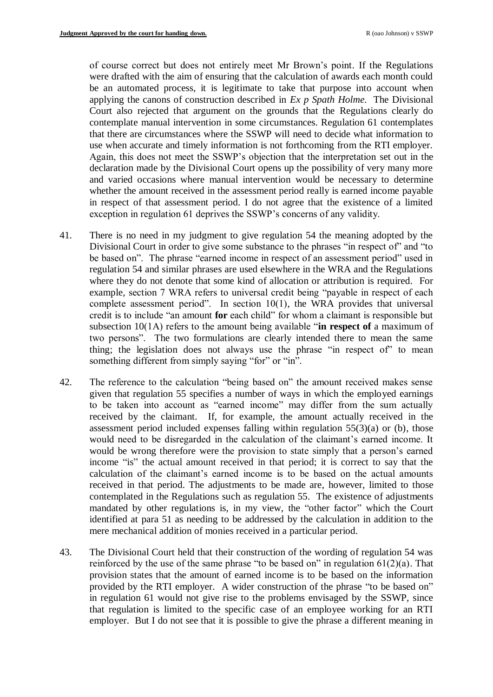of course correct but does not entirely meet Mr Brown's point. If the Regulations were drafted with the aim of ensuring that the calculation of awards each month could be an automated process, it is legitimate to take that purpose into account when applying the canons of construction described in *Ex p Spath Holme*. The Divisional Court also rejected that argument on the grounds that the Regulations clearly do contemplate manual intervention in some circumstances. Regulation 61 contemplates that there are circumstances where the SSWP will need to decide what information to use when accurate and timely information is not forthcoming from the RTI employer. Again, this does not meet the SSWP's objection that the interpretation set out in the declaration made by the Divisional Court opens up the possibility of very many more and varied occasions where manual intervention would be necessary to determine whether the amount received in the assessment period really is earned income payable in respect of that assessment period. I do not agree that the existence of a limited exception in regulation 61 deprives the SSWP's concerns of any validity.

- 41. There is no need in my judgment to give regulation 54 the meaning adopted by the Divisional Court in order to give some substance to the phrases "in respect of" and "to be based on". The phrase "earned income in respect of an assessment period" used in regulation 54 and similar phrases are used elsewhere in the WRA and the Regulations where they do not denote that some kind of allocation or attribution is required. For example, section 7 WRA refers to universal credit being "payable in respect of each complete assessment period". In section 10(1), the WRA provides that universal credit is to include "an amount **for** each child" for whom a claimant is responsible but subsection 10(1A) refers to the amount being available "**in respect of** a maximum of two persons". The two formulations are clearly intended there to mean the same thing; the legislation does not always use the phrase "in respect of" to mean something different from simply saying "for" or "in".
- 42. The reference to the calculation "being based on" the amount received makes sense given that regulation 55 specifies a number of ways in which the employed earnings to be taken into account as "earned income" may differ from the sum actually received by the claimant. If, for example, the amount actually received in the assessment period included expenses falling within regulation  $55(3)(a)$  or (b), those would need to be disregarded in the calculation of the claimant's earned income. It would be wrong therefore were the provision to state simply that a person's earned income "is" the actual amount received in that period; it is correct to say that the calculation of the claimant's earned income is to be based on the actual amounts received in that period. The adjustments to be made are, however, limited to those contemplated in the Regulations such as regulation  $55$ . The existence of adjustments mandated by other regulations is, in my view, the "other factor" which the Court identified at para 51 as needing to be addressed by the calculation in addition to the mere mechanical addition of monies received in a particular period.
- 43. The Divisional Court held that their construction of the wording of regulation 54 was reinforced by the use of the same phrase "to be based on" in regulation  $61(2)(a)$ . That provision states that the amount of earned income is to be based on the information provided by the RTI employer. A wider construction of the phrase "to be based on" in regulation 61 would not give rise to the problems envisaged by the SSWP, since that regulation is limited to the specific case of an employee working for an RTI employer. But I do not see that it is possible to give the phrase a different meaning in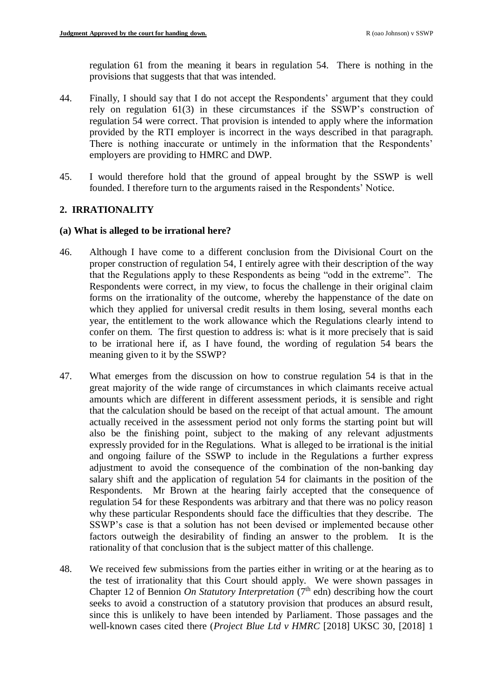regulation 61 from the meaning it bears in regulation 54. There is nothing in the provisions that suggests that that was intended.

- 44. Finally, I should say that I do not accept the Respondents' argument that they could rely on regulation 61(3) in these circumstances if the SSWP's construction of regulation 54 were correct. That provision is intended to apply where the information provided by the RTI employer is incorrect in the ways described in that paragraph. There is nothing inaccurate or untimely in the information that the Respondents' employers are providing to HMRC and DWP.
- 45. I would therefore hold that the ground of appeal brought by the SSWP is well founded. I therefore turn to the arguments raised in the Respondents' Notice.

## **2. IRRATIONALITY**

### **(a) What is alleged to be irrational here?**

- 46. Although I have come to a different conclusion from the Divisional Court on the proper construction of regulation 54, I entirely agree with their description of the way that the Regulations apply to these Respondents as being "odd in the extreme". The Respondents were correct, in my view, to focus the challenge in their original claim forms on the irrationality of the outcome, whereby the happenstance of the date on which they applied for universal credit results in them losing, several months each year, the entitlement to the work allowance which the Regulations clearly intend to confer on them. The first question to address is: what is it more precisely that is said to be irrational here if, as I have found, the wording of regulation 54 bears the meaning given to it by the SSWP?
- 47. What emerges from the discussion on how to construe regulation 54 is that in the great majority of the wide range of circumstances in which claimants receive actual amounts which are different in different assessment periods, it is sensible and right that the calculation should be based on the receipt of that actual amount. The amount actually received in the assessment period not only forms the starting point but will also be the finishing point, subject to the making of any relevant adjustments expressly provided for in the Regulations. What is alleged to be irrational is the initial and ongoing failure of the SSWP to include in the Regulations a further express adjustment to avoid the consequence of the combination of the non-banking day salary shift and the application of regulation 54 for claimants in the position of the Respondents. Mr Brown at the hearing fairly accepted that the consequence of regulation 54 for these Respondents was arbitrary and that there was no policy reason why these particular Respondents should face the difficulties that they describe. The SSWP's case is that a solution has not been devised or implemented because other factors outweigh the desirability of finding an answer to the problem. It is the rationality of that conclusion that is the subject matter of this challenge.
- 48. We received few submissions from the parties either in writing or at the hearing as to the test of irrationality that this Court should apply. We were shown passages in Chapter 12 of Bennion *On Statutory Interpretation* (7<sup>th</sup> edn) describing how the court seeks to avoid a construction of a statutory provision that produces an absurd result, since this is unlikely to have been intended by Parliament. Those passages and the well-known cases cited there (*Project Blue Ltd v HMRC* [2018] UKSC 30, [2018] 1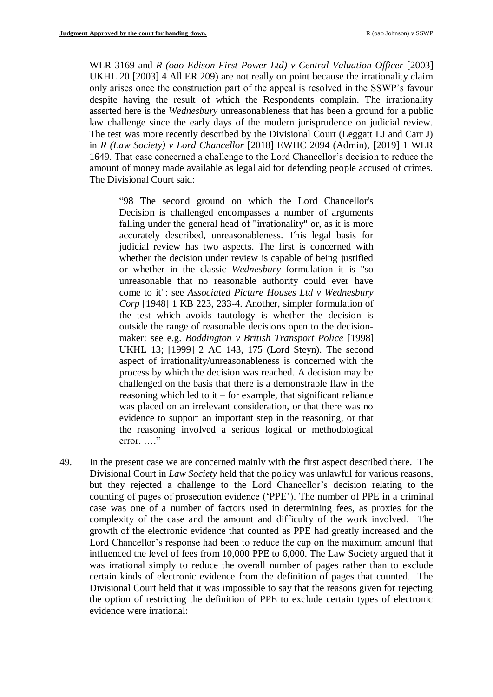WLR 3169 and *R (oao Edison First Power Ltd) v Central Valuation Officer* [2003] UKHL 20 [2003] 4 All ER 209) are not really on point because the irrationality claim only arises once the construction part of the appeal is resolved in the SSWP's favour despite having the result of which the Respondents complain. The irrationality asserted here is the *Wednesbury* unreasonableness that has been a ground for a public law challenge since the early days of the modern jurisprudence on judicial review. The test was more recently described by the Divisional Court (Leggatt LJ and Carr J) in *R (Law Society) v Lord Chancellor* [2018] EWHC 2094 (Admin), [2019] 1 WLR 1649. That case concerned a challenge to the Lord Chancellor's decision to reduce the amount of money made available as legal aid for defending people accused of crimes. The Divisional Court said:

"98 The second ground on which the Lord Chancellor's Decision is challenged encompasses a number of arguments falling under the general head of "irrationality" or, as it is more accurately described, unreasonableness. This legal basis for judicial review has two aspects. The first is concerned with whether the decision under review is capable of being justified or whether in the classic *Wednesbury* formulation it is "so unreasonable that no reasonable authority could ever have come to it": see *Associated Picture Houses Ltd v Wednesbury Corp* [1948] 1 KB 223, 233-4. Another, simpler formulation of the test which avoids tautology is whether the decision is outside the range of reasonable decisions open to the decisionmaker: see e.g. *Boddington v British Transport Police* [1998] UKHL 13; [1999] 2 AC 143, 175 (Lord Steyn). The second aspect of irrationality/unreasonableness is concerned with the process by which the decision was reached. A decision may be challenged on the basis that there is a demonstrable flaw in the reasoning which led to it – for example, that significant reliance was placed on an irrelevant consideration, or that there was no evidence to support an important step in the reasoning, or that the reasoning involved a serious logical or methodological error.  $\ldots$ "

49. In the present case we are concerned mainly with the first aspect described there. The Divisional Court in *Law Society* held that the policy was unlawful for various reasons, but they rejected a challenge to the Lord Chancellor's decision relating to the counting of pages of prosecution evidence ('PPE'). The number of PPE in a criminal case was one of a number of factors used in determining fees, as proxies for the complexity of the case and the amount and difficulty of the work involved. The growth of the electronic evidence that counted as PPE had greatly increased and the Lord Chancellor's response had been to reduce the cap on the maximum amount that influenced the level of fees from 10,000 PPE to 6,000. The Law Society argued that it was irrational simply to reduce the overall number of pages rather than to exclude certain kinds of electronic evidence from the definition of pages that counted. The Divisional Court held that it was impossible to say that the reasons given for rejecting the option of restricting the definition of PPE to exclude certain types of electronic evidence were irrational: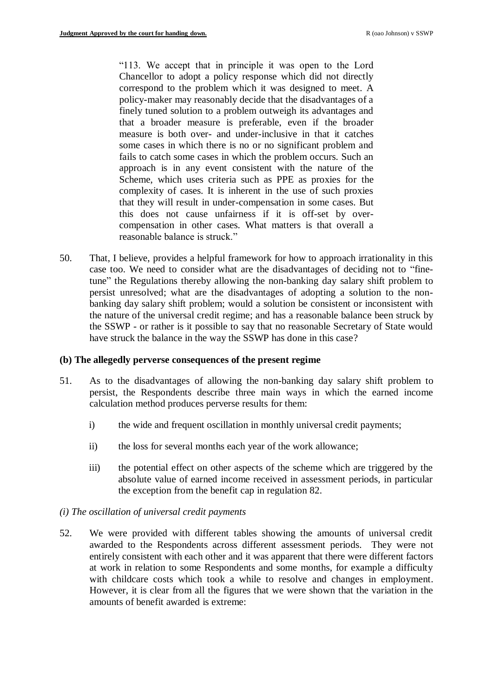"113. We accept that in principle it was open to the Lord Chancellor to adopt a policy response which did not directly correspond to the problem which it was designed to meet. A policy-maker may reasonably decide that the disadvantages of a finely tuned solution to a problem outweigh its advantages and that a broader measure is preferable, even if the broader measure is both over- and under-inclusive in that it catches some cases in which there is no or no significant problem and fails to catch some cases in which the problem occurs. Such an approach is in any event consistent with the nature of the Scheme, which uses criteria such as PPE as proxies for the complexity of cases. It is inherent in the use of such proxies that they will result in under-compensation in some cases. But this does not cause unfairness if it is off-set by overcompensation in other cases. What matters is that overall a reasonable balance is struck."

50. That, I believe, provides a helpful framework for how to approach irrationality in this case too. We need to consider what are the disadvantages of deciding not to "finetune" the Regulations thereby allowing the non-banking day salary shift problem to persist unresolved; what are the disadvantages of adopting a solution to the nonbanking day salary shift problem; would a solution be consistent or inconsistent with the nature of the universal credit regime; and has a reasonable balance been struck by the SSWP - or rather is it possible to say that no reasonable Secretary of State would have struck the balance in the way the SSWP has done in this case?

### **(b) The allegedly perverse consequences of the present regime**

- 51. As to the disadvantages of allowing the non-banking day salary shift problem to persist, the Respondents describe three main ways in which the earned income calculation method produces perverse results for them:
	- i) the wide and frequent oscillation in monthly universal credit payments;
	- ii) the loss for several months each year of the work allowance;
	- iii) the potential effect on other aspects of the scheme which are triggered by the absolute value of earned income received in assessment periods, in particular the exception from the benefit cap in regulation 82.
- *(i) The oscillation of universal credit payments*
- 52. We were provided with different tables showing the amounts of universal credit awarded to the Respondents across different assessment periods. They were not entirely consistent with each other and it was apparent that there were different factors at work in relation to some Respondents and some months, for example a difficulty with childcare costs which took a while to resolve and changes in employment. However, it is clear from all the figures that we were shown that the variation in the amounts of benefit awarded is extreme: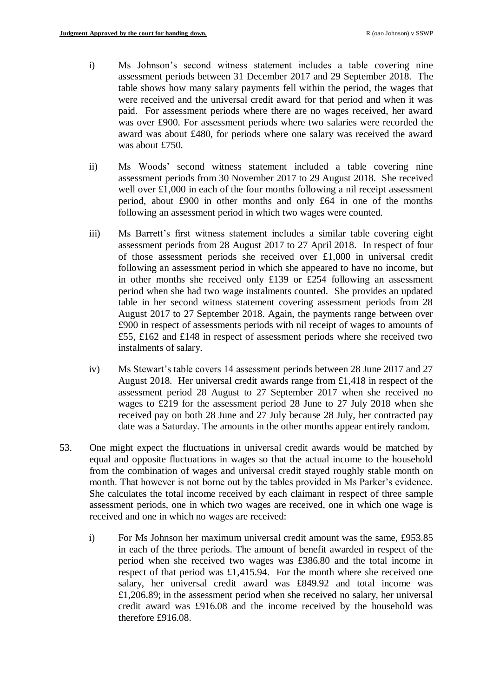- i) Ms Johnson's second witness statement includes a table covering nine assessment periods between 31 December 2017 and 29 September 2018. The table shows how many salary payments fell within the period, the wages that were received and the universal credit award for that period and when it was paid. For assessment periods where there are no wages received, her award was over £900. For assessment periods where two salaries were recorded the award was about £480, for periods where one salary was received the award was about £750.
- ii) Ms Woods' second witness statement included a table covering nine assessment periods from 30 November 2017 to 29 August 2018. She received well over £1,000 in each of the four months following a nil receipt assessment period, about £900 in other months and only £64 in one of the months following an assessment period in which two wages were counted.
- iii) Ms Barrett's first witness statement includes a similar table covering eight assessment periods from 28 August 2017 to 27 April 2018. In respect of four of those assessment periods she received over £1,000 in universal credit following an assessment period in which she appeared to have no income, but in other months she received only £139 or £254 following an assessment period when she had two wage instalments counted. She provides an updated table in her second witness statement covering assessment periods from 28 August 2017 to 27 September 2018. Again, the payments range between over £900 in respect of assessments periods with nil receipt of wages to amounts of £55, £162 and £148 in respect of assessment periods where she received two instalments of salary.
- iv) Ms Stewart's table covers 14 assessment periods between 28 June 2017 and 27 August 2018. Her universal credit awards range from £1,418 in respect of the assessment period 28 August to 27 September 2017 when she received no wages to £219 for the assessment period 28 June to 27 July 2018 when she received pay on both 28 June and 27 July because 28 July, her contracted pay date was a Saturday. The amounts in the other months appear entirely random.
- 53. One might expect the fluctuations in universal credit awards would be matched by equal and opposite fluctuations in wages so that the actual income to the household from the combination of wages and universal credit stayed roughly stable month on month. That however is not borne out by the tables provided in Ms Parker's evidence. She calculates the total income received by each claimant in respect of three sample assessment periods, one in which two wages are received, one in which one wage is received and one in which no wages are received:
	- i) For Ms Johnson her maximum universal credit amount was the same, £953.85 in each of the three periods. The amount of benefit awarded in respect of the period when she received two wages was £386.80 and the total income in respect of that period was £1,415.94. For the month where she received one salary, her universal credit award was £849.92 and total income was £1,206.89; in the assessment period when she received no salary, her universal credit award was £916.08 and the income received by the household was therefore £916.08.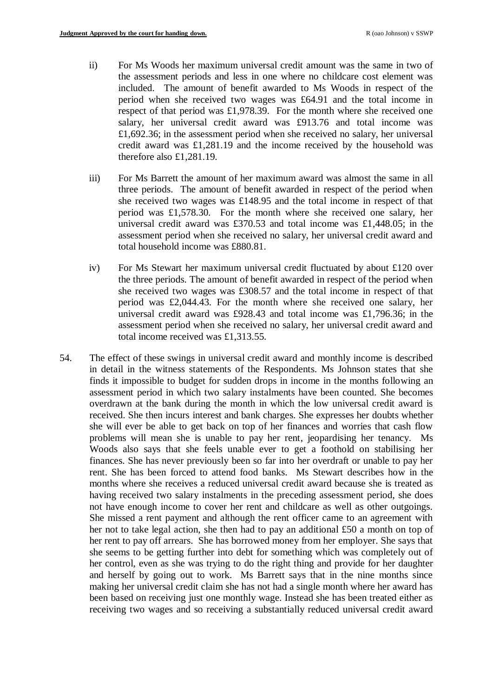- ii) For Ms Woods her maximum universal credit amount was the same in two of the assessment periods and less in one where no childcare cost element was included. The amount of benefit awarded to Ms Woods in respect of the period when she received two wages was £64.91 and the total income in respect of that period was £1,978.39. For the month where she received one salary, her universal credit award was £913.76 and total income was £1,692.36; in the assessment period when she received no salary, her universal credit award was £1,281.19 and the income received by the household was therefore also £1,281.19.
- iii) For Ms Barrett the amount of her maximum award was almost the same in all three periods. The amount of benefit awarded in respect of the period when she received two wages was £148.95 and the total income in respect of that period was £1,578.30. For the month where she received one salary, her universal credit award was £370.53 and total income was £1,448.05; in the assessment period when she received no salary, her universal credit award and total household income was £880.81.
- iv) For Ms Stewart her maximum universal credit fluctuated by about £120 over the three periods. The amount of benefit awarded in respect of the period when she received two wages was £308.57 and the total income in respect of that period was £2,044.43. For the month where she received one salary, her universal credit award was £928.43 and total income was £1,796.36; in the assessment period when she received no salary, her universal credit award and total income received was £1,313.55.
- 54. The effect of these swings in universal credit award and monthly income is described in detail in the witness statements of the Respondents. Ms Johnson states that she finds it impossible to budget for sudden drops in income in the months following an assessment period in which two salary instalments have been counted. She becomes overdrawn at the bank during the month in which the low universal credit award is received. She then incurs interest and bank charges. She expresses her doubts whether she will ever be able to get back on top of her finances and worries that cash flow problems will mean she is unable to pay her rent, jeopardising her tenancy. Ms Woods also says that she feels unable ever to get a foothold on stabilising her finances. She has never previously been so far into her overdraft or unable to pay her rent. She has been forced to attend food banks. Ms Stewart describes how in the months where she receives a reduced universal credit award because she is treated as having received two salary instalments in the preceding assessment period, she does not have enough income to cover her rent and childcare as well as other outgoings. She missed a rent payment and although the rent officer came to an agreement with her not to take legal action, she then had to pay an additional £50 a month on top of her rent to pay off arrears. She has borrowed money from her employer. She says that she seems to be getting further into debt for something which was completely out of her control, even as she was trying to do the right thing and provide for her daughter and herself by going out to work. Ms Barrett says that in the nine months since making her universal credit claim she has not had a single month where her award has been based on receiving just one monthly wage. Instead she has been treated either as receiving two wages and so receiving a substantially reduced universal credit award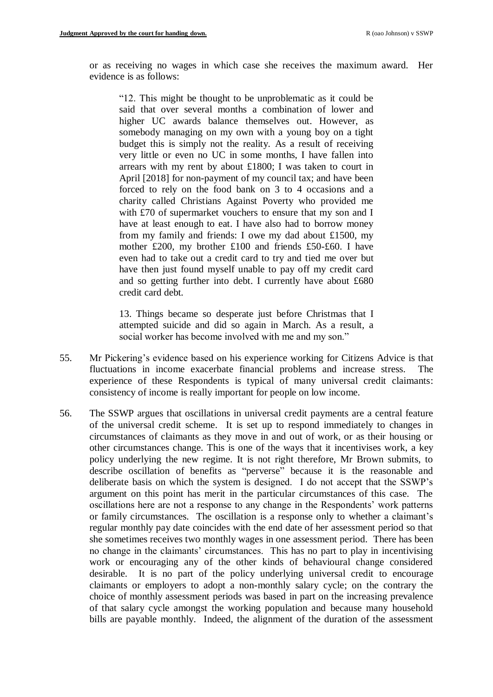or as receiving no wages in which case she receives the maximum award. Her evidence is as follows:

"12. This might be thought to be unproblematic as it could be said that over several months a combination of lower and higher UC awards balance themselves out. However, as somebody managing on my own with a young boy on a tight budget this is simply not the reality. As a result of receiving very little or even no UC in some months, I have fallen into arrears with my rent by about £1800; I was taken to court in April [2018] for non-payment of my council tax; and have been forced to rely on the food bank on 3 to 4 occasions and a charity called Christians Against Poverty who provided me with £70 of supermarket vouchers to ensure that my son and I have at least enough to eat. I have also had to borrow money from my family and friends: I owe my dad about £1500, my mother £200, my brother £100 and friends £50-£60. I have even had to take out a credit card to try and tied me over but have then just found myself unable to pay off my credit card and so getting further into debt. I currently have about £680 credit card debt.

13. Things became so desperate just before Christmas that I attempted suicide and did so again in March. As a result, a social worker has become involved with me and my son."

- 55. Mr Pickering's evidence based on his experience working for Citizens Advice is that fluctuations in income exacerbate financial problems and increase stress. The experience of these Respondents is typical of many universal credit claimants: consistency of income is really important for people on low income.
- 56. The SSWP argues that oscillations in universal credit payments are a central feature of the universal credit scheme. It is set up to respond immediately to changes in circumstances of claimants as they move in and out of work, or as their housing or other circumstances change. This is one of the ways that it incentivises work, a key policy underlying the new regime. It is not right therefore, Mr Brown submits, to describe oscillation of benefits as "perverse" because it is the reasonable and deliberate basis on which the system is designed. I do not accept that the SSWP's argument on this point has merit in the particular circumstances of this case. The oscillations here are not a response to any change in the Respondents' work patterns or family circumstances. The oscillation is a response only to whether a claimant's regular monthly pay date coincides with the end date of her assessment period so that she sometimes receives two monthly wages in one assessment period. There has been no change in the claimants' circumstances. This has no part to play in incentivising work or encouraging any of the other kinds of behavioural change considered desirable. It is no part of the policy underlying universal credit to encourage claimants or employers to adopt a non-monthly salary cycle; on the contrary the choice of monthly assessment periods was based in part on the increasing prevalence of that salary cycle amongst the working population and because many household bills are payable monthly. Indeed, the alignment of the duration of the assessment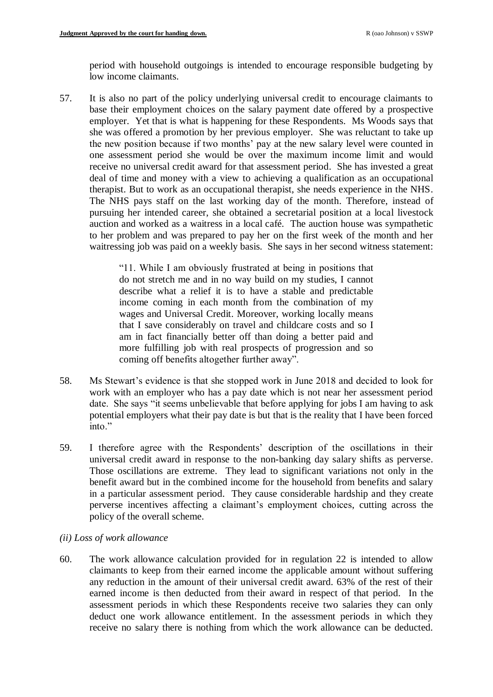period with household outgoings is intended to encourage responsible budgeting by low income claimants.

57. It is also no part of the policy underlying universal credit to encourage claimants to base their employment choices on the salary payment date offered by a prospective employer. Yet that is what is happening for these Respondents. Ms Woods says that she was offered a promotion by her previous employer. She was reluctant to take up the new position because if two months' pay at the new salary level were counted in one assessment period she would be over the maximum income limit and would receive no universal credit award for that assessment period. She has invested a great deal of time and money with a view to achieving a qualification as an occupational therapist. But to work as an occupational therapist, she needs experience in the NHS. The NHS pays staff on the last working day of the month. Therefore, instead of pursuing her intended career, she obtained a secretarial position at a local livestock auction and worked as a waitress in a local café. The auction house was sympathetic to her problem and was prepared to pay her on the first week of the month and her waitressing job was paid on a weekly basis. She says in her second witness statement:

> "11. While I am obviously frustrated at being in positions that do not stretch me and in no way build on my studies, I cannot describe what a relief it is to have a stable and predictable income coming in each month from the combination of my wages and Universal Credit. Moreover, working locally means that I save considerably on travel and childcare costs and so I am in fact financially better off than doing a better paid and more fulfilling job with real prospects of progression and so coming off benefits altogether further away".

- 58. Ms Stewart's evidence is that she stopped work in June 2018 and decided to look for work with an employer who has a pay date which is not near her assessment period date. She says "it seems unbelievable that before applying for jobs I am having to ask potential employers what their pay date is but that is the reality that I have been forced into."
- 59. I therefore agree with the Respondents' description of the oscillations in their universal credit award in response to the non-banking day salary shifts as perverse. Those oscillations are extreme. They lead to significant variations not only in the benefit award but in the combined income for the household from benefits and salary in a particular assessment period. They cause considerable hardship and they create perverse incentives affecting a claimant's employment choices, cutting across the policy of the overall scheme.

## *(ii) Loss of work allowance*

<span id="page-22-0"></span>60. The work allowance calculation provided for in regulation 22 is intended to allow claimants to keep from their earned income the applicable amount without suffering any reduction in the amount of their universal credit award. 63% of the rest of their earned income is then deducted from their award in respect of that period. In the assessment periods in which these Respondents receive two salaries they can only deduct one work allowance entitlement. In the assessment periods in which they receive no salary there is nothing from which the work allowance can be deducted.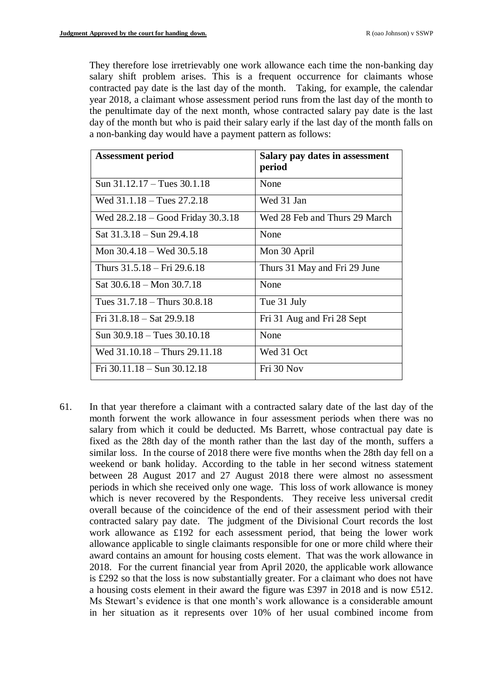They therefore lose irretrievably one work allowance each time the non-banking day salary shift problem arises. This is a frequent occurrence for claimants whose contracted pay date is the last day of the month. Taking, for example, the calendar year 2018, a claimant whose assessment period runs from the last day of the month to the penultimate day of the next month, whose contracted salary pay date is the last day of the month but who is paid their salary early if the last day of the month falls on a non-banking day would have a payment pattern as follows:

| <b>Assessment period</b>              | Salary pay dates in assessment<br>period |
|---------------------------------------|------------------------------------------|
| Sun $31.12.17 - \text{Tues } 30.1.18$ | None                                     |
| Wed $31.1.18 - \text{Tues } 27.2.18$  | Wed 31 Jan                               |
| Wed $28.2.18 - Good Friday 30.3.18$   | Wed 28 Feb and Thurs 29 March            |
| Sat $31.3.18 - Sun$ 29.4.18           | None                                     |
| Mon $30.4.18$ – Wed $30.5.18$         | Mon 30 April                             |
| Thurs 31.5.18 – Fri 29.6.18           | Thurs 31 May and Fri 29 June             |
| Sat $30.6.18 - \text{Mon } 30.7.18$   | None                                     |
| Tues $31.7.18 -$ Thurs $30.8.18$      | Tue 31 July                              |
| Fri $31.8.18 - Sat$ 29.9.18           | Fri 31 Aug and Fri 28 Sept               |
| Sun $30.9.18 -$ Tues $30.10.18$       | None                                     |
| Wed $31.10.18 -$ Thurs $29.11.18$     | Wed 31 Oct                               |
| Fri $30.11.18 - Sun$ $30.12.18$       | Fri 30 Nov                               |

61. In that year therefore a claimant with a contracted salary date of the last day of the month forwent the work allowance in four assessment periods when there was no salary from which it could be deducted. Ms Barrett, whose contractual pay date is fixed as the 28th day of the month rather than the last day of the month, suffers a similar loss. In the course of 2018 there were five months when the 28th day fell on a weekend or bank holiday. According to the table in her second witness statement between 28 August 2017 and 27 August 2018 there were almost no assessment periods in which she received only one wage. This loss of work allowance is money which is never recovered by the Respondents. They receive less universal credit overall because of the coincidence of the end of their assessment period with their contracted salary pay date. The judgment of the Divisional Court records the lost work allowance as £192 for each assessment period, that being the lower work allowance applicable to single claimants responsible for one or more child where their award contains an amount for housing costs element. That was the work allowance in 2018. For the current financial year from April 2020, the applicable work allowance is £292 so that the loss is now substantially greater. For a claimant who does not have a housing costs element in their award the figure was £397 in 2018 and is now £512. Ms Stewart's evidence is that one month's work allowance is a considerable amount in her situation as it represents over 10% of her usual combined income from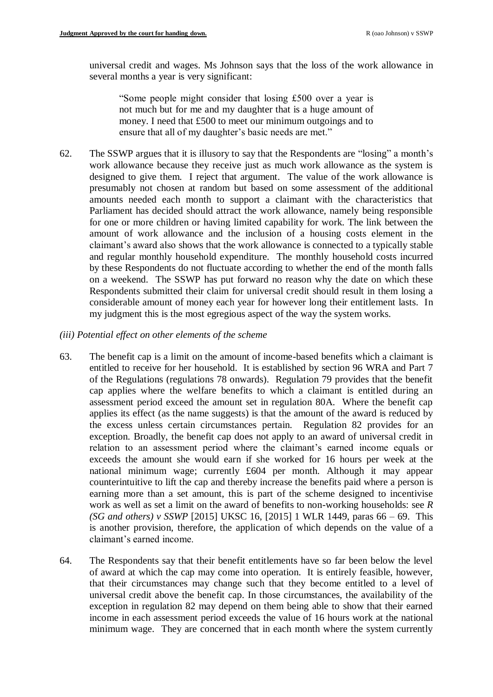universal credit and wages. Ms Johnson says that the loss of the work allowance in several months a year is very significant:

"Some people might consider that losing £500 over a year is not much but for me and my daughter that is a huge amount of money. I need that £500 to meet our minimum outgoings and to ensure that all of my daughter's basic needs are met."

62. The SSWP argues that it is illusory to say that the Respondents are "losing" a month's work allowance because they receive just as much work allowance as the system is designed to give them. I reject that argument. The value of the work allowance is presumably not chosen at random but based on some assessment of the additional amounts needed each month to support a claimant with the characteristics that Parliament has decided should attract the work allowance, namely being responsible for one or more children or having limited capability for work. The link between the amount of work allowance and the inclusion of a housing costs element in the claimant's award also shows that the work allowance is connected to a typically stable and regular monthly household expenditure. The monthly household costs incurred by these Respondents do not fluctuate according to whether the end of the month falls on a weekend. The SSWP has put forward no reason why the date on which these Respondents submitted their claim for universal credit should result in them losing a considerable amount of money each year for however long their entitlement lasts. In my judgment this is the most egregious aspect of the way the system works.

### *(iii) Potential effect on other elements of the scheme*

- 63. The benefit cap is a limit on the amount of income-based benefits which a claimant is entitled to receive for her household. It is established by section 96 WRA and Part 7 of the Regulations (regulations 78 onwards). Regulation 79 provides that the benefit cap applies where the welfare benefits to which a claimant is entitled during an assessment period exceed the amount set in regulation 80A. Where the benefit cap applies its effect (as the name suggests) is that the amount of the award is reduced by the excess unless certain circumstances pertain. Regulation 82 provides for an exception. Broadly, the benefit cap does not apply to an award of universal credit in relation to an assessment period where the claimant's earned income equals or exceeds the amount she would earn if she worked for 16 hours per week at the national minimum wage; currently £604 per month. Although it may appear counterintuitive to lift the cap and thereby increase the benefits paid where a person is earning more than a set amount, this is part of the scheme designed to incentivise work as well as set a limit on the award of benefits to non-working households: see *R (SG and others) v SSWP* [2015] UKSC 16, [2015] 1 WLR 1449, paras 66 – 69. This is another provision, therefore, the application of which depends on the value of a claimant's earned income.
- 64. The Respondents say that their benefit entitlements have so far been below the level of award at which the cap may come into operation. It is entirely feasible, however, that their circumstances may change such that they become entitled to a level of universal credit above the benefit cap. In those circumstances, the availability of the exception in regulation 82 may depend on them being able to show that their earned income in each assessment period exceeds the value of 16 hours work at the national minimum wage. They are concerned that in each month where the system currently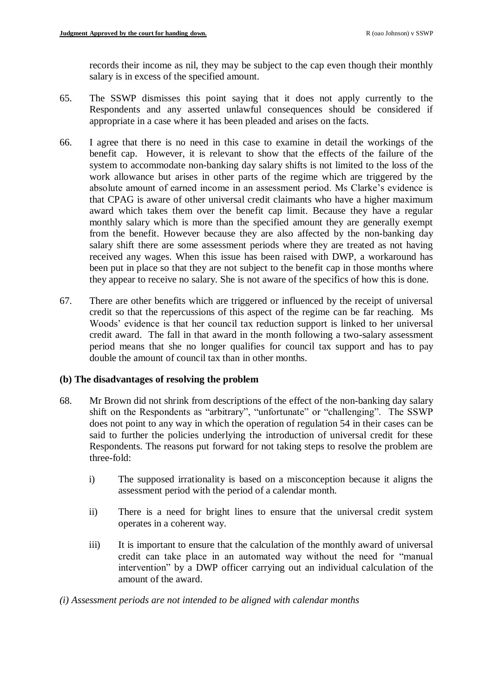records their income as nil, they may be subject to the cap even though their monthly salary is in excess of the specified amount.

- 65. The SSWP dismisses this point saying that it does not apply currently to the Respondents and any asserted unlawful consequences should be considered if appropriate in a case where it has been pleaded and arises on the facts.
- 66. I agree that there is no need in this case to examine in detail the workings of the benefit cap. However, it is relevant to show that the effects of the failure of the system to accommodate non-banking day salary shifts is not limited to the loss of the work allowance but arises in other parts of the regime which are triggered by the absolute amount of earned income in an assessment period. Ms Clarke's evidence is that CPAG is aware of other universal credit claimants who have a higher maximum award which takes them over the benefit cap limit. Because they have a regular monthly salary which is more than the specified amount they are generally exempt from the benefit. However because they are also affected by the non-banking day salary shift there are some assessment periods where they are treated as not having received any wages. When this issue has been raised with DWP, a workaround has been put in place so that they are not subject to the benefit cap in those months where they appear to receive no salary. She is not aware of the specifics of how this is done.
- 67. There are other benefits which are triggered or influenced by the receipt of universal credit so that the repercussions of this aspect of the regime can be far reaching. Ms Woods' evidence is that her council tax reduction support is linked to her universal credit award. The fall in that award in the month following a two-salary assessment period means that she no longer qualifies for council tax support and has to pay double the amount of council tax than in other months.

### **(b) The disadvantages of resolving the problem**

- 68. Mr Brown did not shrink from descriptions of the effect of the non-banking day salary shift on the Respondents as "arbitrary", "unfortunate" or "challenging". The SSWP does not point to any way in which the operation of regulation 54 in their cases can be said to further the policies underlying the introduction of universal credit for these Respondents. The reasons put forward for not taking steps to resolve the problem are three-fold:
	- i) The supposed irrationality is based on a misconception because it aligns the assessment period with the period of a calendar month.
	- ii) There is a need for bright lines to ensure that the universal credit system operates in a coherent way.
	- iii) It is important to ensure that the calculation of the monthly award of universal credit can take place in an automated way without the need for "manual intervention" by a DWP officer carrying out an individual calculation of the amount of the award.

## *(i) Assessment periods are not intended to be aligned with calendar months*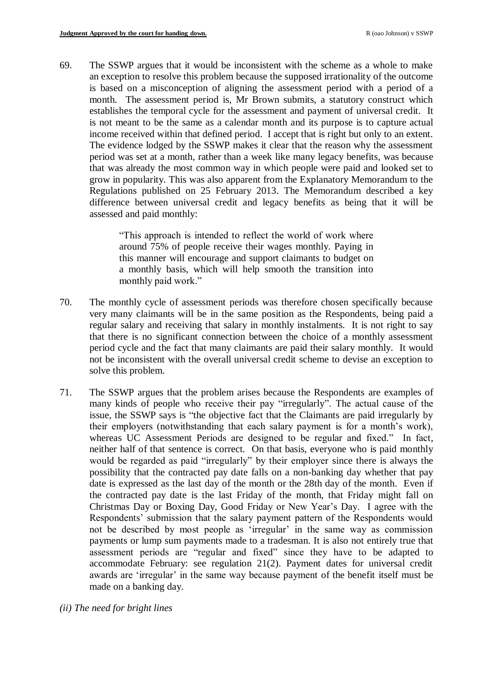69. The SSWP argues that it would be inconsistent with the scheme as a whole to make an exception to resolve this problem because the supposed irrationality of the outcome is based on a misconception of aligning the assessment period with a period of a month. The assessment period is, Mr Brown submits, a statutory construct which establishes the temporal cycle for the assessment and payment of universal credit. It is not meant to be the same as a calendar month and its purpose is to capture actual income received within that defined period. I accept that is right but only to an extent. The evidence lodged by the SSWP makes it clear that the reason why the assessment period was set at a month, rather than a week like many legacy benefits, was because that was already the most common way in which people were paid and looked set to grow in popularity. This was also apparent from the Explanatory Memorandum to the Regulations published on 25 February 2013. The Memorandum described a key difference between universal credit and legacy benefits as being that it will be assessed and paid monthly:

> "This approach is intended to reflect the world of work where around 75% of people receive their wages monthly. Paying in this manner will encourage and support claimants to budget on a monthly basis, which will help smooth the transition into monthly paid work."

- 70. The monthly cycle of assessment periods was therefore chosen specifically because very many claimants will be in the same position as the Respondents, being paid a regular salary and receiving that salary in monthly instalments. It is not right to say that there is no significant connection between the choice of a monthly assessment period cycle and the fact that many claimants are paid their salary monthly. It would not be inconsistent with the overall universal credit scheme to devise an exception to solve this problem.
- 71. The SSWP argues that the problem arises because the Respondents are examples of many kinds of people who receive their pay "irregularly". The actual cause of the issue, the SSWP says is "the objective fact that the Claimants are paid irregularly by their employers (notwithstanding that each salary payment is for a month's work), whereas UC Assessment Periods are designed to be regular and fixed." In fact, neither half of that sentence is correct. On that basis, everyone who is paid monthly would be regarded as paid "irregularly" by their employer since there is always the possibility that the contracted pay date falls on a non-banking day whether that pay date is expressed as the last day of the month or the 28th day of the month. Even if the contracted pay date is the last Friday of the month, that Friday might fall on Christmas Day or Boxing Day, Good Friday or New Year's Day. I agree with the Respondents' submission that the salary payment pattern of the Respondents would not be described by most people as 'irregular' in the same way as commission payments or lump sum payments made to a tradesman. It is also not entirely true that assessment periods are "regular and fixed" since they have to be adapted to accommodate February: see regulation 21(2). Payment dates for universal credit awards are 'irregular' in the same way because payment of the benefit itself must be made on a banking day.
- *(ii) The need for bright lines*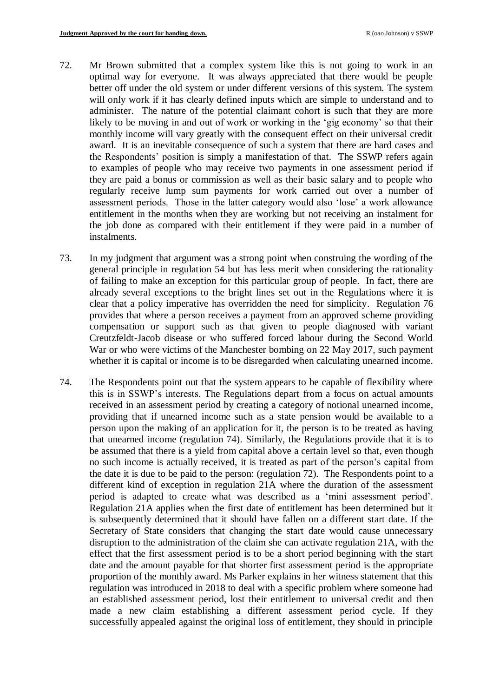- 72. Mr Brown submitted that a complex system like this is not going to work in an optimal way for everyone. It was always appreciated that there would be people better off under the old system or under different versions of this system. The system will only work if it has clearly defined inputs which are simple to understand and to administer. The nature of the potential claimant cohort is such that they are more likely to be moving in and out of work or working in the 'gig economy' so that their monthly income will vary greatly with the consequent effect on their universal credit award. It is an inevitable consequence of such a system that there are hard cases and the Respondents' position is simply a manifestation of that. The SSWP refers again to examples of people who may receive two payments in one assessment period if they are paid a bonus or commission as well as their basic salary and to people who regularly receive lump sum payments for work carried out over a number of assessment periods. Those in the latter category would also 'lose' a work allowance entitlement in the months when they are working but not receiving an instalment for the job done as compared with their entitlement if they were paid in a number of instalments.
- 73. In my judgment that argument was a strong point when construing the wording of the general principle in regulation 54 but has less merit when considering the rationality of failing to make an exception for this particular group of people. In fact, there are already several exceptions to the bright lines set out in the Regulations where it is clear that a policy imperative has overridden the need for simplicity. Regulation 76 provides that where a person receives a payment from an approved scheme providing compensation or support such as that given to people diagnosed with variant Creutzfeldt-Jacob disease or who suffered forced labour during the Second World War or who were victims of the Manchester bombing on 22 May 2017, such payment whether it is capital or income is to be disregarded when calculating unearned income.
- 74. The Respondents point out that the system appears to be capable of flexibility where this is in SSWP's interests. The Regulations depart from a focus on actual amounts received in an assessment period by creating a category of notional unearned income, providing that if unearned income such as a state pension would be available to a person upon the making of an application for it, the person is to be treated as having that unearned income (regulation 74). Similarly, the Regulations provide that it is to be assumed that there is a yield from capital above a certain level so that, even though no such income is actually received, it is treated as part of the person's capital from the date it is due to be paid to the person: (regulation 72). The Respondents point to a different kind of exception in regulation 21A where the duration of the assessment period is adapted to create what was described as a 'mini assessment period'. Regulation 21A applies when the first date of entitlement has been determined but it is subsequently determined that it should have fallen on a different start date. If the Secretary of State considers that changing the start date would cause unnecessary disruption to the administration of the claim she can activate regulation 21A, with the effect that the first assessment period is to be a short period beginning with the start date and the amount payable for that shorter first assessment period is the appropriate proportion of the monthly award. Ms Parker explains in her witness statement that this regulation was introduced in 2018 to deal with a specific problem where someone had an established assessment period, lost their entitlement to universal credit and then made a new claim establishing a different assessment period cycle. If they successfully appealed against the original loss of entitlement, they should in principle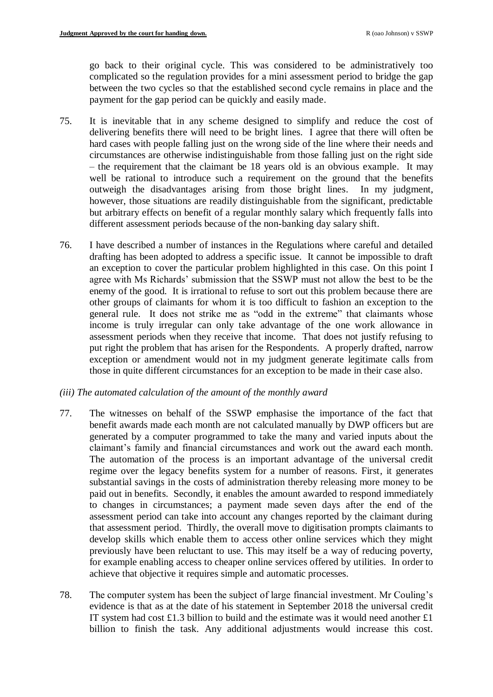go back to their original cycle. This was considered to be administratively too complicated so the regulation provides for a mini assessment period to bridge the gap between the two cycles so that the established second cycle remains in place and the payment for the gap period can be quickly and easily made.

- 75. It is inevitable that in any scheme designed to simplify and reduce the cost of delivering benefits there will need to be bright lines. I agree that there will often be hard cases with people falling just on the wrong side of the line where their needs and circumstances are otherwise indistinguishable from those falling just on the right side – the requirement that the claimant be 18 years old is an obvious example. It may well be rational to introduce such a requirement on the ground that the benefits outweigh the disadvantages arising from those bright lines. In my judgment, however, those situations are readily distinguishable from the significant, predictable but arbitrary effects on benefit of a regular monthly salary which frequently falls into different assessment periods because of the non-banking day salary shift.
- 76. I have described a number of instances in the Regulations where careful and detailed drafting has been adopted to address a specific issue. It cannot be impossible to draft an exception to cover the particular problem highlighted in this case. On this point I agree with Ms Richards' submission that the SSWP must not allow the best to be the enemy of the good. It is irrational to refuse to sort out this problem because there are other groups of claimants for whom it is too difficult to fashion an exception to the general rule. It does not strike me as "odd in the extreme" that claimants whose income is truly irregular can only take advantage of the one work allowance in assessment periods when they receive that income. That does not justify refusing to put right the problem that has arisen for the Respondents. A properly drafted, narrow exception or amendment would not in my judgment generate legitimate calls from those in quite different circumstances for an exception to be made in their case also.

## *(iii) The automated calculation of the amount of the monthly award*

- 77. The witnesses on behalf of the SSWP emphasise the importance of the fact that benefit awards made each month are not calculated manually by DWP officers but are generated by a computer programmed to take the many and varied inputs about the claimant's family and financial circumstances and work out the award each month. The automation of the process is an important advantage of the universal credit regime over the legacy benefits system for a number of reasons. First, it generates substantial savings in the costs of administration thereby releasing more money to be paid out in benefits. Secondly, it enables the amount awarded to respond immediately to changes in circumstances; a payment made seven days after the end of the assessment period can take into account any changes reported by the claimant during that assessment period. Thirdly, the overall move to digitisation prompts claimants to develop skills which enable them to access other online services which they might previously have been reluctant to use. This may itself be a way of reducing poverty, for example enabling access to cheaper online services offered by utilities. In order to achieve that objective it requires simple and automatic processes.
- 78. The computer system has been the subject of large financial investment. Mr Couling's evidence is that as at the date of his statement in September 2018 the universal credit IT system had cost £1.3 billion to build and the estimate was it would need another £1 billion to finish the task. Any additional adjustments would increase this cost.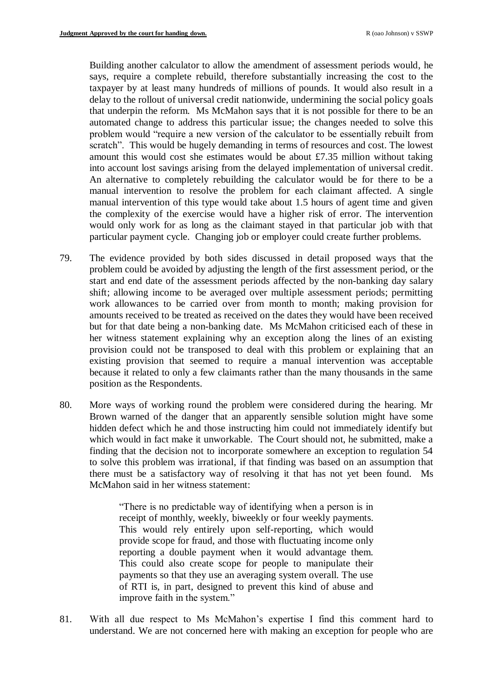Building another calculator to allow the amendment of assessment periods would, he says, require a complete rebuild, therefore substantially increasing the cost to the taxpayer by at least many hundreds of millions of pounds. It would also result in a delay to the rollout of universal credit nationwide, undermining the social policy goals that underpin the reform. Ms McMahon says that it is not possible for there to be an automated change to address this particular issue; the changes needed to solve this problem would "require a new version of the calculator to be essentially rebuilt from scratch". This would be hugely demanding in terms of resources and cost. The lowest amount this would cost she estimates would be about £7.35 million without taking into account lost savings arising from the delayed implementation of universal credit. An alternative to completely rebuilding the calculator would be for there to be a manual intervention to resolve the problem for each claimant affected. A single manual intervention of this type would take about 1.5 hours of agent time and given the complexity of the exercise would have a higher risk of error. The intervention would only work for as long as the claimant stayed in that particular job with that particular payment cycle. Changing job or employer could create further problems.

- 79. The evidence provided by both sides discussed in detail proposed ways that the problem could be avoided by adjusting the length of the first assessment period, or the start and end date of the assessment periods affected by the non-banking day salary shift; allowing income to be averaged over multiple assessment periods; permitting work allowances to be carried over from month to month; making provision for amounts received to be treated as received on the dates they would have been received but for that date being a non-banking date. Ms McMahon criticised each of these in her witness statement explaining why an exception along the lines of an existing provision could not be transposed to deal with this problem or explaining that an existing provision that seemed to require a manual intervention was acceptable because it related to only a few claimants rather than the many thousands in the same position as the Respondents.
- 80. More ways of working round the problem were considered during the hearing. Mr Brown warned of the danger that an apparently sensible solution might have some hidden defect which he and those instructing him could not immediately identify but which would in fact make it unworkable. The Court should not, he submitted, make a finding that the decision not to incorporate somewhere an exception to regulation 54 to solve this problem was irrational, if that finding was based on an assumption that there must be a satisfactory way of resolving it that has not yet been found. Ms McMahon said in her witness statement:

"There is no predictable way of identifying when a person is in receipt of monthly, weekly, biweekly or four weekly payments. This would rely entirely upon self-reporting, which would provide scope for fraud, and those with fluctuating income only reporting a double payment when it would advantage them. This could also create scope for people to manipulate their payments so that they use an averaging system overall. The use of RTI is, in part, designed to prevent this kind of abuse and improve faith in the system."

81. With all due respect to Ms McMahon's expertise I find this comment hard to understand. We are not concerned here with making an exception for people who are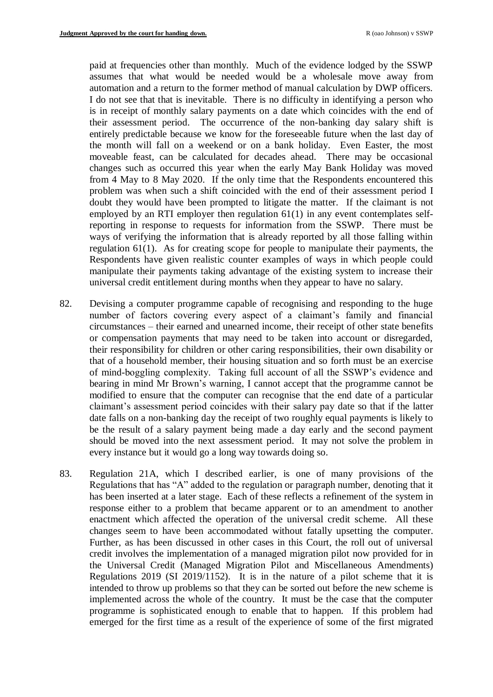paid at frequencies other than monthly. Much of the evidence lodged by the SSWP assumes that what would be needed would be a wholesale move away from automation and a return to the former method of manual calculation by DWP officers. I do not see that that is inevitable. There is no difficulty in identifying a person who is in receipt of monthly salary payments on a date which coincides with the end of their assessment period. The occurrence of the non-banking day salary shift is entirely predictable because we know for the foreseeable future when the last day of the month will fall on a weekend or on a bank holiday. Even Easter, the most moveable feast, can be calculated for decades ahead. There may be occasional changes such as occurred this year when the early May Bank Holiday was moved from 4 May to 8 May 2020. If the only time that the Respondents encountered this problem was when such a shift coincided with the end of their assessment period I doubt they would have been prompted to litigate the matter. If the claimant is not employed by an RTI employer then regulation 61(1) in any event contemplates selfreporting in response to requests for information from the SSWP. There must be ways of verifying the information that is already reported by all those falling within regulation 61(1). As for creating scope for people to manipulate their payments, the Respondents have given realistic counter examples of ways in which people could manipulate their payments taking advantage of the existing system to increase their universal credit entitlement during months when they appear to have no salary.

- 82. Devising a computer programme capable of recognising and responding to the huge number of factors covering every aspect of a claimant's family and financial circumstances – their earned and unearned income, their receipt of other state benefits or compensation payments that may need to be taken into account or disregarded, their responsibility for children or other caring responsibilities, their own disability or that of a household member, their housing situation and so forth must be an exercise of mind-boggling complexity. Taking full account of all the SSWP's evidence and bearing in mind Mr Brown's warning, I cannot accept that the programme cannot be modified to ensure that the computer can recognise that the end date of a particular claimant's assessment period coincides with their salary pay date so that if the latter date falls on a non-banking day the receipt of two roughly equal payments is likely to be the result of a salary payment being made a day early and the second payment should be moved into the next assessment period. It may not solve the problem in every instance but it would go a long way towards doing so.
- 83. Regulation 21A, which I described earlier, is one of many provisions of the Regulations that has "A" added to the regulation or paragraph number, denoting that it has been inserted at a later stage. Each of these reflects a refinement of the system in response either to a problem that became apparent or to an amendment to another enactment which affected the operation of the universal credit scheme. All these changes seem to have been accommodated without fatally upsetting the computer. Further, as has been discussed in other cases in this Court, the roll out of universal credit involves the implementation of a managed migration pilot now provided for in the Universal Credit (Managed Migration Pilot and Miscellaneous Amendments) Regulations 2019 (SI 2019/1152). It is in the nature of a pilot scheme that it is intended to throw up problems so that they can be sorted out before the new scheme is implemented across the whole of the country. It must be the case that the computer programme is sophisticated enough to enable that to happen. If this problem had emerged for the first time as a result of the experience of some of the first migrated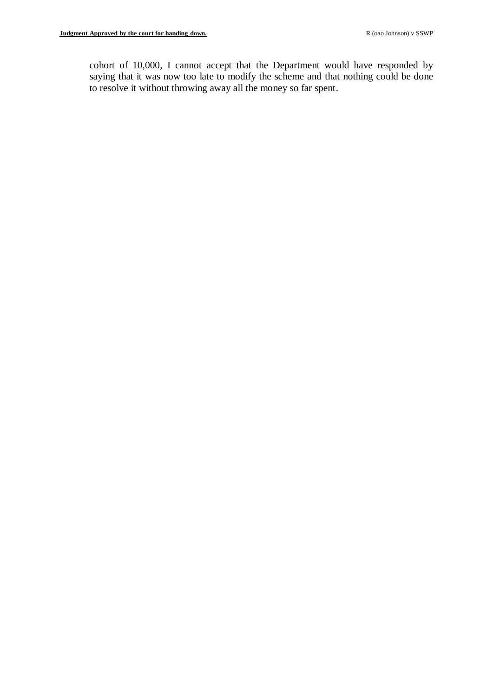cohort of 10,000, I cannot accept that the Department would have responded by saying that it was now too late to modify the scheme and that nothing could be done to resolve it without throwing away all the money so far spent.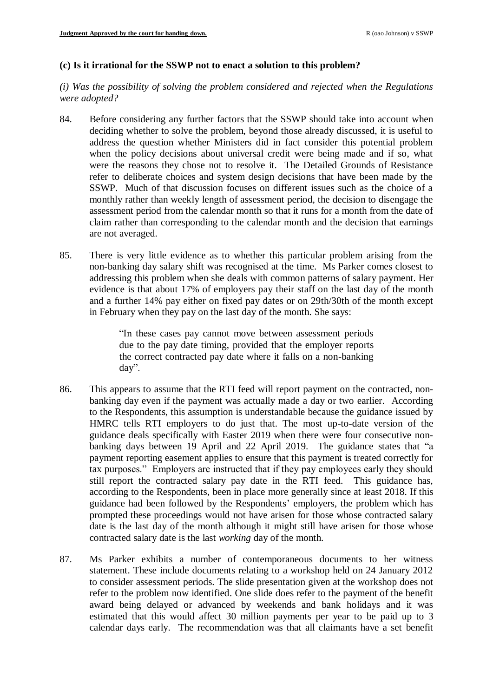### **(c) Is it irrational for the SSWP not to enact a solution to this problem?**

*(i) Was the possibility of solving the problem considered and rejected when the Regulations were adopted?* 

- 84. Before considering any further factors that the SSWP should take into account when deciding whether to solve the problem, beyond those already discussed, it is useful to address the question whether Ministers did in fact consider this potential problem when the policy decisions about universal credit were being made and if so, what were the reasons they chose not to resolve it. The Detailed Grounds of Resistance refer to deliberate choices and system design decisions that have been made by the SSWP. Much of that discussion focuses on different issues such as the choice of a monthly rather than weekly length of assessment period, the decision to disengage the assessment period from the calendar month so that it runs for a month from the date of claim rather than corresponding to the calendar month and the decision that earnings are not averaged.
- 85. There is very little evidence as to whether this particular problem arising from the non-banking day salary shift was recognised at the time. Ms Parker comes closest to addressing this problem when she deals with common patterns of salary payment. Her evidence is that about 17% of employers pay their staff on the last day of the month and a further 14% pay either on fixed pay dates or on 29th/30th of the month except in February when they pay on the last day of the month. She says:

"In these cases pay cannot move between assessment periods due to the pay date timing, provided that the employer reports the correct contracted pay date where it falls on a non-banking day".

- 86. This appears to assume that the RTI feed will report payment on the contracted, nonbanking day even if the payment was actually made a day or two earlier. According to the Respondents, this assumption is understandable because the guidance issued by HMRC tells RTI employers to do just that. The most up-to-date version of the guidance deals specifically with Easter 2019 when there were four consecutive nonbanking days between 19 April and 22 April 2019. The guidance states that "a payment reporting easement applies to ensure that this payment is treated correctly for tax purposes." Employers are instructed that if they pay employees early they should still report the contracted salary pay date in the RTI feed. This guidance has, according to the Respondents, been in place more generally since at least 2018. If this guidance had been followed by the Respondents' employers, the problem which has prompted these proceedings would not have arisen for those whose contracted salary date is the last day of the month although it might still have arisen for those whose contracted salary date is the last *working* day of the month.
- 87. Ms Parker exhibits a number of contemporaneous documents to her witness statement. These include documents relating to a workshop held on 24 January 2012 to consider assessment periods. The slide presentation given at the workshop does not refer to the problem now identified. One slide does refer to the payment of the benefit award being delayed or advanced by weekends and bank holidays and it was estimated that this would affect 30 million payments per year to be paid up to 3 calendar days early. The recommendation was that all claimants have a set benefit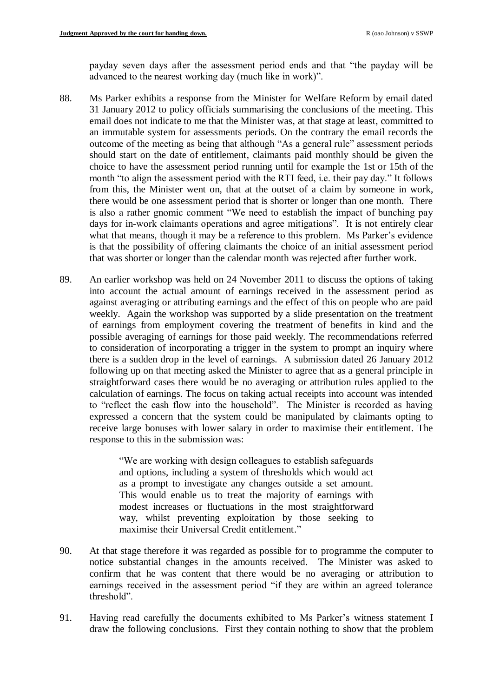payday seven days after the assessment period ends and that "the payday will be advanced to the nearest working day (much like in work)".

- 88. Ms Parker exhibits a response from the Minister for Welfare Reform by email dated 31 January 2012 to policy officials summarising the conclusions of the meeting. This email does not indicate to me that the Minister was, at that stage at least, committed to an immutable system for assessments periods. On the contrary the email records the outcome of the meeting as being that although "As a general rule" assessment periods should start on the date of entitlement, claimants paid monthly should be given the choice to have the assessment period running until for example the 1st or 15th of the month "to align the assessment period with the RTI feed, i.e. their pay day." It follows from this, the Minister went on, that at the outset of a claim by someone in work, there would be one assessment period that is shorter or longer than one month. There is also a rather gnomic comment "We need to establish the impact of bunching pay days for in-work claimants operations and agree mitigations". It is not entirely clear what that means, though it may be a reference to this problem. Ms Parker's evidence is that the possibility of offering claimants the choice of an initial assessment period that was shorter or longer than the calendar month was rejected after further work.
- 89. An earlier workshop was held on 24 November 2011 to discuss the options of taking into account the actual amount of earnings received in the assessment period as against averaging or attributing earnings and the effect of this on people who are paid weekly. Again the workshop was supported by a slide presentation on the treatment of earnings from employment covering the treatment of benefits in kind and the possible averaging of earnings for those paid weekly. The recommendations referred to consideration of incorporating a trigger in the system to prompt an inquiry where there is a sudden drop in the level of earnings. A submission dated 26 January 2012 following up on that meeting asked the Minister to agree that as a general principle in straightforward cases there would be no averaging or attribution rules applied to the calculation of earnings. The focus on taking actual receipts into account was intended to "reflect the cash flow into the household". The Minister is recorded as having expressed a concern that the system could be manipulated by claimants opting to receive large bonuses with lower salary in order to maximise their entitlement. The response to this in the submission was:

"We are working with design colleagues to establish safeguards and options, including a system of thresholds which would act as a prompt to investigate any changes outside a set amount. This would enable us to treat the majority of earnings with modest increases or fluctuations in the most straightforward way, whilst preventing exploitation by those seeking to maximise their Universal Credit entitlement."

- 90. At that stage therefore it was regarded as possible for to programme the computer to notice substantial changes in the amounts received. The Minister was asked to confirm that he was content that there would be no averaging or attribution to earnings received in the assessment period "if they are within an agreed tolerance threshold".
- 91. Having read carefully the documents exhibited to Ms Parker's witness statement I draw the following conclusions. First they contain nothing to show that the problem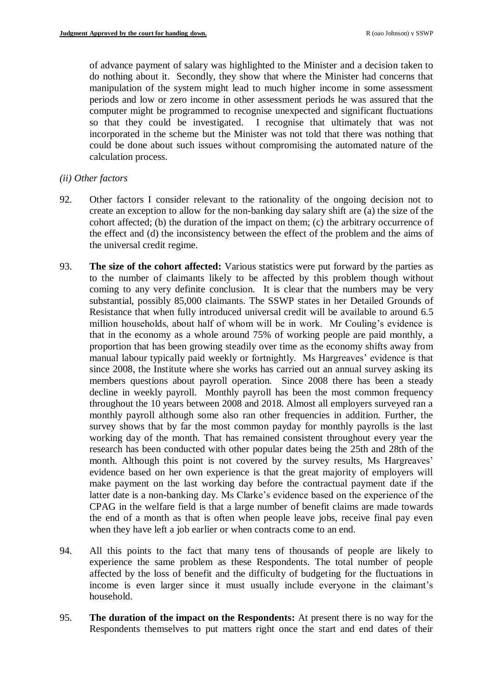of advance payment of salary was highlighted to the Minister and a decision taken to do nothing about it. Secondly, they show that where the Minister had concerns that manipulation of the system might lead to much higher income in some assessment periods and low or zero income in other assessment periods he was assured that the computer might be programmed to recognise unexpected and significant fluctuations so that they could be investigated. I recognise that ultimately that was not incorporated in the scheme but the Minister was not told that there was nothing that could be done about such issues without compromising the automated nature of the calculation process.

### *(ii) Other factors*

- 92. Other factors I consider relevant to the rationality of the ongoing decision not to create an exception to allow for the non-banking day salary shift are (a) the size of the cohort affected; (b) the duration of the impact on them; (c) the arbitrary occurrence of the effect and (d) the inconsistency between the effect of the problem and the aims of the universal credit regime.
- 93. **The size of the cohort affected:** Various statistics were put forward by the parties as to the number of claimants likely to be affected by this problem though without coming to any very definite conclusion. It is clear that the numbers may be very substantial, possibly 85,000 claimants. The SSWP states in her Detailed Grounds of Resistance that when fully introduced universal credit will be available to around 6.5 million households, about half of whom will be in work. Mr Couling's evidence is that in the economy as a whole around 75% of working people are paid monthly, a proportion that has been growing steadily over time as the economy shifts away from manual labour typically paid weekly or fortnightly. Ms Hargreaves' evidence is that since 2008, the Institute where she works has carried out an annual survey asking its members questions about payroll operation. Since 2008 there has been a steady decline in weekly payroll. Monthly payroll has been the most common frequency throughout the 10 years between 2008 and 2018. Almost all employers surveyed ran a monthly payroll although some also ran other frequencies in addition. Further, the survey shows that by far the most common payday for monthly payrolls is the last working day of the month. That has remained consistent throughout every year the research has been conducted with other popular dates being the 25th and 28th of the month. Although this point is not covered by the survey results, Ms Hargreaves' evidence based on her own experience is that the great majority of employers will make payment on the last working day before the contractual payment date if the latter date is a non-banking day. Ms Clarke's evidence based on the experience of the CPAG in the welfare field is that a large number of benefit claims are made towards the end of a month as that is often when people leave jobs, receive final pay even when they have left a job earlier or when contracts come to an end.
- 94. All this points to the fact that many tens of thousands of people are likely to experience the same problem as these Respondents. The total number of people affected by the loss of benefit and the difficulty of budgeting for the fluctuations in income is even larger since it must usually include everyone in the claimant's household.
- 95. **The duration of the impact on the Respondents:** At present there is no way for the Respondents themselves to put matters right once the start and end dates of their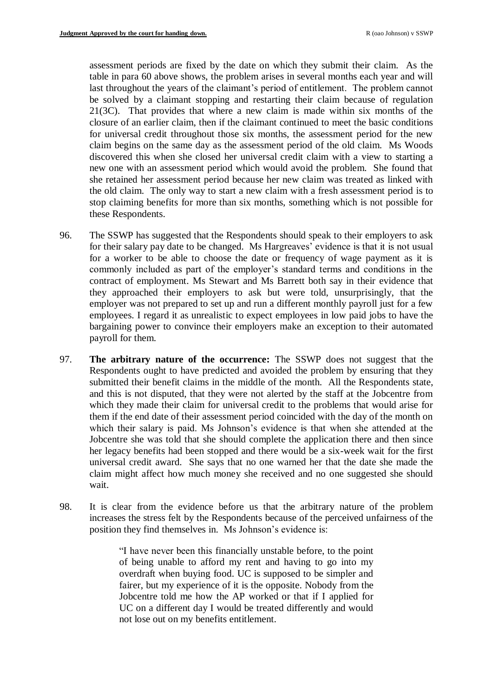assessment periods are fixed by the date on which they submit their claim. As the table in para [60](#page-22-0) above shows, the problem arises in several months each year and will last throughout the years of the claimant's period of entitlement. The problem cannot be solved by a claimant stopping and restarting their claim because of regulation 21(3C). That provides that where a new claim is made within six months of the closure of an earlier claim, then if the claimant continued to meet the basic conditions for universal credit throughout those six months, the assessment period for the new claim begins on the same day as the assessment period of the old claim. Ms Woods discovered this when she closed her universal credit claim with a view to starting a new one with an assessment period which would avoid the problem. She found that she retained her assessment period because her new claim was treated as linked with the old claim. The only way to start a new claim with a fresh assessment period is to stop claiming benefits for more than six months, something which is not possible for these Respondents.

- 96. The SSWP has suggested that the Respondents should speak to their employers to ask for their salary pay date to be changed. Ms Hargreaves' evidence is that it is not usual for a worker to be able to choose the date or frequency of wage payment as it is commonly included as part of the employer's standard terms and conditions in the contract of employment. Ms Stewart and Ms Barrett both say in their evidence that they approached their employers to ask but were told, unsurprisingly, that the employer was not prepared to set up and run a different monthly payroll just for a few employees. I regard it as unrealistic to expect employees in low paid jobs to have the bargaining power to convince their employers make an exception to their automated payroll for them.
- 97. **The arbitrary nature of the occurrence:** The SSWP does not suggest that the Respondents ought to have predicted and avoided the problem by ensuring that they submitted their benefit claims in the middle of the month. All the Respondents state, and this is not disputed, that they were not alerted by the staff at the Jobcentre from which they made their claim for universal credit to the problems that would arise for them if the end date of their assessment period coincided with the day of the month on which their salary is paid. Ms Johnson's evidence is that when she attended at the Jobcentre she was told that she should complete the application there and then since her legacy benefits had been stopped and there would be a six-week wait for the first universal credit award. She says that no one warned her that the date she made the claim might affect how much money she received and no one suggested she should wait.
- 98. It is clear from the evidence before us that the arbitrary nature of the problem increases the stress felt by the Respondents because of the perceived unfairness of the position they find themselves in. Ms Johnson's evidence is:

"I have never been this financially unstable before, to the point of being unable to afford my rent and having to go into my overdraft when buying food. UC is supposed to be simpler and fairer, but my experience of it is the opposite. Nobody from the Jobcentre told me how the AP worked or that if I applied for UC on a different day I would be treated differently and would not lose out on my benefits entitlement.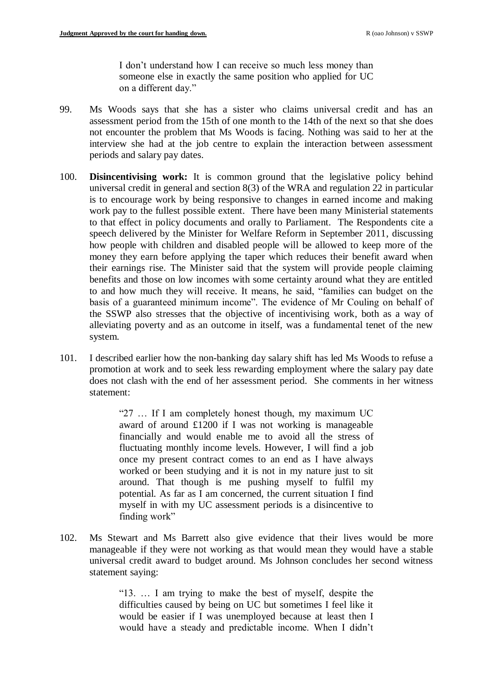I don't understand how I can receive so much less money than someone else in exactly the same position who applied for UC on a different day."

- 99. Ms Woods says that she has a sister who claims universal credit and has an assessment period from the 15th of one month to the 14th of the next so that she does not encounter the problem that Ms Woods is facing. Nothing was said to her at the interview she had at the job centre to explain the interaction between assessment periods and salary pay dates.
- 100. **Disincentivising work:** It is common ground that the legislative policy behind universal credit in general and section 8(3) of the WRA and regulation 22 in particular is to encourage work by being responsive to changes in earned income and making work pay to the fullest possible extent. There have been many Ministerial statements to that effect in policy documents and orally to Parliament. The Respondents cite a speech delivered by the Minister for Welfare Reform in September 2011, discussing how people with children and disabled people will be allowed to keep more of the money they earn before applying the taper which reduces their benefit award when their earnings rise. The Minister said that the system will provide people claiming benefits and those on low incomes with some certainty around what they are entitled to and how much they will receive. It means, he said, "families can budget on the basis of a guaranteed minimum income". The evidence of Mr Couling on behalf of the SSWP also stresses that the objective of incentivising work, both as a way of alleviating poverty and as an outcome in itself, was a fundamental tenet of the new system.
- 101. I described earlier how the non-banking day salary shift has led Ms Woods to refuse a promotion at work and to seek less rewarding employment where the salary pay date does not clash with the end of her assessment period. She comments in her witness statement:

"27 … If I am completely honest though, my maximum UC award of around £1200 if I was not working is manageable financially and would enable me to avoid all the stress of fluctuating monthly income levels. However, I will find a job once my present contract comes to an end as I have always worked or been studying and it is not in my nature just to sit around. That though is me pushing myself to fulfil my potential. As far as I am concerned, the current situation I find myself in with my UC assessment periods is a disincentive to finding work"

102. Ms Stewart and Ms Barrett also give evidence that their lives would be more manageable if they were not working as that would mean they would have a stable universal credit award to budget around. Ms Johnson concludes her second witness statement saying:

> "13. … I am trying to make the best of myself, despite the difficulties caused by being on UC but sometimes I feel like it would be easier if I was unemployed because at least then I would have a steady and predictable income. When I didn't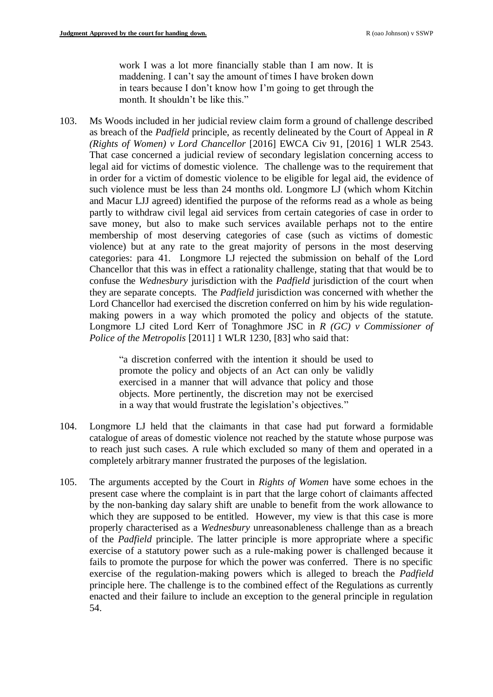work I was a lot more financially stable than I am now. It is maddening. I can't say the amount of times I have broken down in tears because I don't know how I'm going to get through the month. It shouldn't be like this."

103. Ms Woods included in her judicial review claim form a ground of challenge described as breach of the *Padfield* principle, as recently delineated by the Court of Appeal in *R (Rights of Women) v Lord Chancellor* [2016] EWCA Civ 91, [2016] 1 WLR 2543. That case concerned a judicial review of secondary legislation concerning access to legal aid for victims of domestic violence. The challenge was to the requirement that in order for a victim of domestic violence to be eligible for legal aid, the evidence of such violence must be less than 24 months old. Longmore LJ (which whom Kitchin and Macur LJJ agreed) identified the purpose of the reforms read as a whole as being partly to withdraw civil legal aid services from certain categories of case in order to save money, but also to make such services available perhaps not to the entire membership of most deserving categories of case (such as victims of domestic violence) but at any rate to the great majority of persons in the most deserving categories: para 41. Longmore LJ rejected the submission on behalf of the Lord Chancellor that this was in effect a rationality challenge, stating that that would be to confuse the *Wednesbury* jurisdiction with the *Padfield* jurisdiction of the court when they are separate concepts. The *Padfield* jurisdiction was concerned with whether the Lord Chancellor had exercised the discretion conferred on him by his wide regulationmaking powers in a way which promoted the policy and objects of the statute. Longmore LJ cited Lord Kerr of Tonaghmore JSC in *R (GC) v Commissioner of Police of the Metropolis* [2011] 1 WLR 1230, [83] who said that:

> "a discretion conferred with the intention it should be used to promote the policy and objects of an Act can only be validly exercised in a manner that will advance that policy and those objects. More pertinently, the discretion may not be exercised in a way that would frustrate the legislation's objectives."

- 104. Longmore LJ held that the claimants in that case had put forward a formidable catalogue of areas of domestic violence not reached by the statute whose purpose was to reach just such cases. A rule which excluded so many of them and operated in a completely arbitrary manner frustrated the purposes of the legislation.
- 105. The arguments accepted by the Court in *Rights of Women* have some echoes in the present case where the complaint is in part that the large cohort of claimants affected by the non-banking day salary shift are unable to benefit from the work allowance to which they are supposed to be entitled. However, my view is that this case is more properly characterised as a *Wednesbury* unreasonableness challenge than as a breach of the *Padfield* principle. The latter principle is more appropriate where a specific exercise of a statutory power such as a rule-making power is challenged because it fails to promote the purpose for which the power was conferred. There is no specific exercise of the regulation-making powers which is alleged to breach the *Padfield*  principle here. The challenge is to the combined effect of the Regulations as currently enacted and their failure to include an exception to the general principle in regulation 54.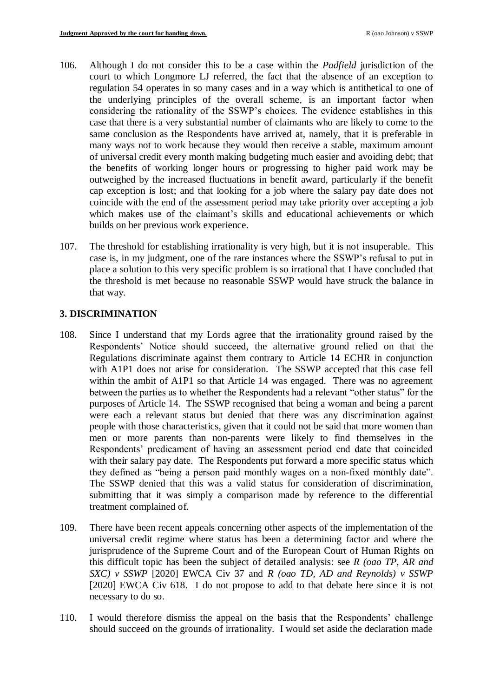- 106. Although I do not consider this to be a case within the *Padfield* jurisdiction of the court to which Longmore LJ referred, the fact that the absence of an exception to regulation 54 operates in so many cases and in a way which is antithetical to one of the underlying principles of the overall scheme, is an important factor when considering the rationality of the SSWP's choices. The evidence establishes in this case that there is a very substantial number of claimants who are likely to come to the same conclusion as the Respondents have arrived at, namely, that it is preferable in many ways not to work because they would then receive a stable, maximum amount of universal credit every month making budgeting much easier and avoiding debt; that the benefits of working longer hours or progressing to higher paid work may be outweighed by the increased fluctuations in benefit award, particularly if the benefit cap exception is lost; and that looking for a job where the salary pay date does not coincide with the end of the assessment period may take priority over accepting a job which makes use of the claimant's skills and educational achievements or which builds on her previous work experience.
- 107. The threshold for establishing irrationality is very high, but it is not insuperable. This case is, in my judgment, one of the rare instances where the SSWP's refusal to put in place a solution to this very specific problem is so irrational that I have concluded that the threshold is met because no reasonable SSWP would have struck the balance in that way.

# **3. DISCRIMINATION**

- 108. Since I understand that my Lords agree that the irrationality ground raised by the Respondents' Notice should succeed, the alternative ground relied on that the Regulations discriminate against them contrary to Article 14 ECHR in conjunction with A1P1 does not arise for consideration. The SSWP accepted that this case fell within the ambit of A1P1 so that Article 14 was engaged. There was no agreement between the parties as to whether the Respondents had a relevant "other status" for the purposes of Article 14. The SSWP recognised that being a woman and being a parent were each a relevant status but denied that there was any discrimination against people with those characteristics, given that it could not be said that more women than men or more parents than non-parents were likely to find themselves in the Respondents' predicament of having an assessment period end date that coincided with their salary pay date. The Respondents put forward a more specific status which they defined as "being a person paid monthly wages on a non-fixed monthly date". The SSWP denied that this was a valid status for consideration of discrimination, submitting that it was simply a comparison made by reference to the differential treatment complained of.
- 109. There have been recent appeals concerning other aspects of the implementation of the universal credit regime where status has been a determining factor and where the jurisprudence of the Supreme Court and of the European Court of Human Rights on this difficult topic has been the subject of detailed analysis: see *R (oao TP, AR and SXC) v SSWP* [2020] EWCA Civ 37 and *R (oao TD, AD and Reynolds) v SSWP*  [2020] EWCA Civ 618. I do not propose to add to that debate here since it is not necessary to do so.
- 110. I would therefore dismiss the appeal on the basis that the Respondents' challenge should succeed on the grounds of irrationality. I would set aside the declaration made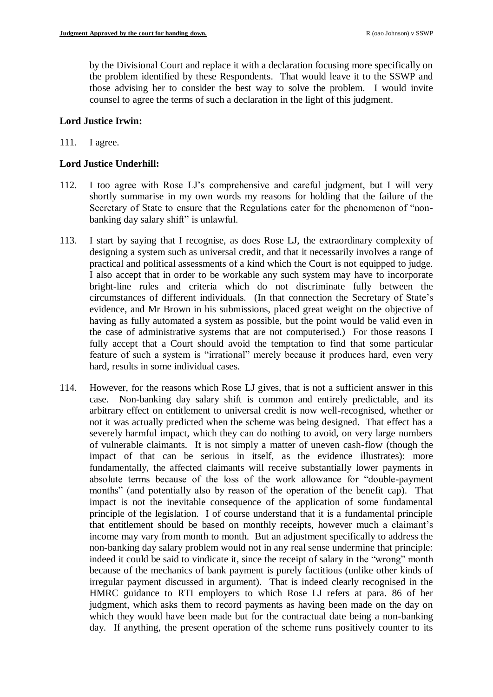by the Divisional Court and replace it with a declaration focusing more specifically on the problem identified by these Respondents. That would leave it to the SSWP and those advising her to consider the best way to solve the problem. I would invite counsel to agree the terms of such a declaration in the light of this judgment.

## **Lord Justice Irwin:**

## 111. I agree.

## **Lord Justice Underhill:**

- 112. I too agree with Rose LJ's comprehensive and careful judgment, but I will very shortly summarise in my own words my reasons for holding that the failure of the Secretary of State to ensure that the Regulations cater for the phenomenon of "nonbanking day salary shift" is unlawful.
- 113. I start by saying that I recognise, as does Rose LJ, the extraordinary complexity of designing a system such as universal credit, and that it necessarily involves a range of practical and political assessments of a kind which the Court is not equipped to judge. I also accept that in order to be workable any such system may have to incorporate bright-line rules and criteria which do not discriminate fully between the circumstances of different individuals. (In that connection the Secretary of State's evidence, and Mr Brown in his submissions, placed great weight on the objective of having as fully automated a system as possible, but the point would be valid even in the case of administrative systems that are not computerised.) For those reasons I fully accept that a Court should avoid the temptation to find that some particular feature of such a system is "irrational" merely because it produces hard, even very hard, results in some individual cases.
- 114. However, for the reasons which Rose LJ gives, that is not a sufficient answer in this case. Non-banking day salary shift is common and entirely predictable, and its arbitrary effect on entitlement to universal credit is now well-recognised, whether or not it was actually predicted when the scheme was being designed. That effect has a severely harmful impact, which they can do nothing to avoid, on very large numbers of vulnerable claimants. It is not simply a matter of uneven cash-flow (though the impact of that can be serious in itself, as the evidence illustrates): more fundamentally, the affected claimants will receive substantially lower payments in absolute terms because of the loss of the work allowance for "double-payment months" (and potentially also by reason of the operation of the benefit cap). That impact is not the inevitable consequence of the application of some fundamental principle of the legislation. I of course understand that it is a fundamental principle that entitlement should be based on monthly receipts, however much a claimant's income may vary from month to month. But an adjustment specifically to address the non-banking day salary problem would not in any real sense undermine that principle: indeed it could be said to vindicate it, since the receipt of salary in the "wrong" month because of the mechanics of bank payment is purely factitious (unlike other kinds of irregular payment discussed in argument). That is indeed clearly recognised in the HMRC guidance to RTI employers to which Rose LJ refers at para. 86 of her judgment, which asks them to record payments as having been made on the day on which they would have been made but for the contractual date being a non-banking day. If anything, the present operation of the scheme runs positively counter to its